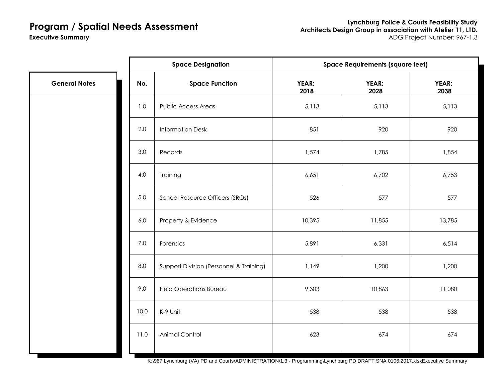**Executive Summary**

**Lynchburg Police & Courts Feasibility Study Architects Design Group in association with Atelier 11, LTD.** ADG Project Number: 967-1.3

### Public Access Areas 1988 1991 11 12 12 13 13 13 13 13 13 13 13 13 13 13 13 14 15,113 15,113 15,113 1 Information Desk 851 920 920 Records 1,574 1,785 1,854 Training 6,651 6,702 6,753 School Resource Officers (SROs)  $\overline{526}$  526 577 577 577 Property & Evidence 2008 2009 10,395 11,855 13,785 Forensics 5,891 6,331 6,514 Support Division (Personnel & Training) 1 1,149 1,200 1,200 1,200 Field Operations Bureau 11,080 K-9 Unit 538 538 538 Animal Control **623** 674 674 674 **Space Designation** 1.0 7.0 **Space Requirements (square feet) General Notes No. Space Function** 3.0 **YEAR: 2018** 5.0 2.0 **YEAR: 2038 YEAR: 2028** 6.0 4.0 8.0 9.0 11.0 10.0

K:\967 Lynchburg (VA) PD and Courts\ADMINISTRATION\1.3 - Programming\Lynchburg PD DRAFT SNA 0106.2017.xlsxExecutive Summary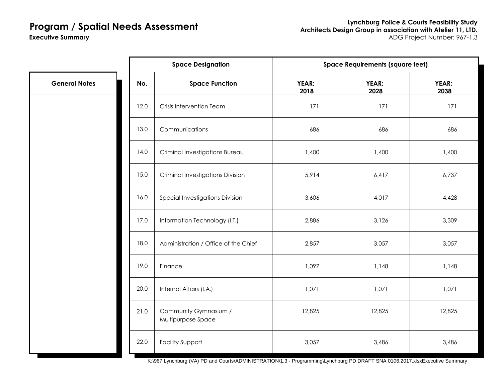**Executive Summary**

|                      | <b>Space Designation</b><br><b>Space Requirements (square feet)</b> |                                             |               |               |               |
|----------------------|---------------------------------------------------------------------|---------------------------------------------|---------------|---------------|---------------|
| <b>General Notes</b> | No.                                                                 | <b>Space Function</b>                       | YEAR:<br>2018 | YEAR:<br>2028 | YEAR:<br>2038 |
|                      | 12.0                                                                | Crisis Intervention Team                    | 171           | 171           | 171           |
|                      | 13.0                                                                | Communications                              | 686           | 686           | 686           |
|                      | 14.0                                                                | Criminal Investigations Bureau              | 1,400         | 1,400         | 1,400         |
|                      | 15.0                                                                | <b>Criminal Investigations Division</b>     | 5,914         | 6,417         | 6,737         |
|                      | 16.0                                                                | Special Investigations Division             | 3,606         | 4,017         | 4,428         |
|                      | 17.0                                                                | Information Technology (I.T.)               | 2,886         | 3,126         | 3,309         |
|                      | 18.0                                                                | Administration / Office of the Chief        | 2,857         | 3,057         | 3,057         |
|                      | 19.0                                                                | Finance                                     | 1,097         | 1,148         | 1,148         |
|                      | 20.0                                                                | Internal Affairs (I.A.)                     | 1,071         | 1,071         | 1,071         |
|                      | 21.0                                                                | Community Gymnasium /<br>Multipurpose Space | 12,825        | 12,825        | 12,825        |
|                      | 22.0                                                                | <b>Facility Support</b>                     | 3,057         | 3,486         | 3,486         |

K:\967 Lynchburg (VA) PD and Courts\ADMINISTRATION\1.3 - Programming\Lynchburg PD DRAFT SNA 0106.2017.xlsxExecutive Summary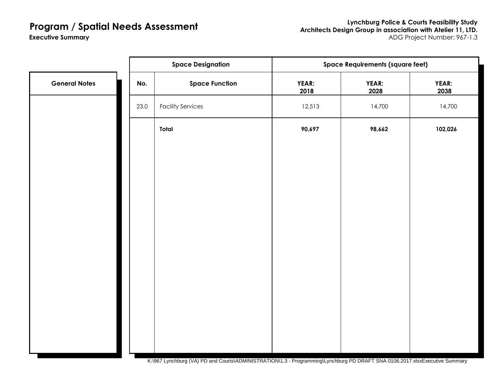**Lynchburg Police & Courts Feasibility Study Architects Design Group in association with Atelier 11, LTD.** ADG Project Number: 967-1.3

**Executive Summary**

|                      |      | <b>Space Designation</b>                                                                                                          | <b>Space Requirements (square feet)</b> |                      |                      |
|----------------------|------|-----------------------------------------------------------------------------------------------------------------------------------|-----------------------------------------|----------------------|----------------------|
| <b>General Notes</b> | No.  | <b>Space Function</b>                                                                                                             | YEAR:<br>2018                           | <b>YEAR:</b><br>2028 | <b>YEAR:</b><br>2038 |
|                      | 23.0 | <b>Facility Services</b>                                                                                                          | 12,513                                  | 14,700               | 14,700               |
|                      |      | Total                                                                                                                             | 90,697                                  | 98,662               | 102,026              |
|                      |      |                                                                                                                                   |                                         |                      |                      |
|                      |      |                                                                                                                                   |                                         |                      |                      |
|                      |      |                                                                                                                                   |                                         |                      |                      |
|                      |      |                                                                                                                                   |                                         |                      |                      |
|                      |      |                                                                                                                                   |                                         |                      |                      |
|                      |      |                                                                                                                                   |                                         |                      |                      |
|                      |      |                                                                                                                                   |                                         |                      |                      |
|                      |      |                                                                                                                                   |                                         |                      |                      |
|                      |      |                                                                                                                                   |                                         |                      |                      |
|                      |      | 1/1007 Locations (114) DD and Quotel ADMINICED ATION 14.0. December 21 on alternational DD DD AFT ON A 04.00 0047 devElocation Qu |                                         |                      |                      |

K:\967 Lynchburg (VA) PD and Courts\ADMINISTRATION\1.3 - Programming\Lynchburg PD DRAFT SNA 0106.2017.xlsxExecutive Summary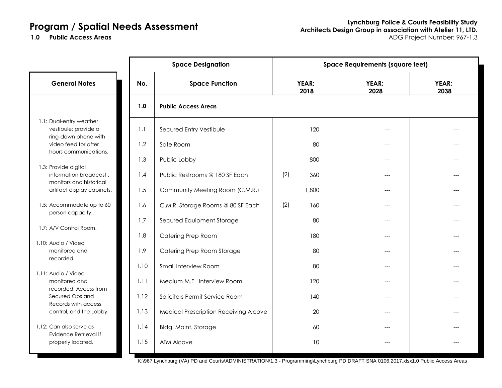|                                                                           |      | <b>Space Designation</b>              | <b>Space Requirements (square feet)</b> |               |               |               |
|---------------------------------------------------------------------------|------|---------------------------------------|-----------------------------------------|---------------|---------------|---------------|
| <b>General Notes</b>                                                      | No.  | <b>Space Function</b>                 |                                         | YEAR:<br>2018 | YEAR:<br>2028 | YEAR:<br>2038 |
|                                                                           | 1.0  | <b>Public Access Areas</b>            |                                         |               |               |               |
| 1.1: Dual-entry weather<br>vestibule; provide a<br>ring-down phone with   | 1.1  | Secured Entry Vestibule               |                                         | 120           |               |               |
| video feed for after<br>hours communications.                             | 1.2  | Safe Room                             |                                         | 80            | ---           |               |
|                                                                           | 1.3  | Public Lobby                          |                                         | 800           |               |               |
| 1.3: Provide digital<br>information broadcast.<br>monitors and historical | 1.4  | Public Restrooms @ 180 SF Each        | (2)                                     | 360           | ---           |               |
| artifact display cabinets.                                                | 1.5  | Community Meeting Room (C.M.R.)       |                                         | 1,800         |               |               |
| 1.5: Accommodate up to 60<br>person capacity.                             | 1.6  | C.M.R. Storage Rooms @ 80 SF Each     | (2)                                     | 160           | ---           |               |
| 1.7: A/V Control Room.                                                    | 1.7  | Secured Equipment Storage             |                                         | 80            | ---           |               |
|                                                                           | 1.8  | Catering Prep Room                    |                                         | 180           |               |               |
| 1.10: Audio / Video<br>monitored and<br>recorded.                         | 1.9  | Catering Prep Room Storage            |                                         | 80            | ---           |               |
|                                                                           | 1.10 | Small Interview Room                  |                                         | 80            | ---           |               |
| 1.11: Audio / Video<br>monitored and<br>recorded. Access from             | 1.11 | Medium M.F. Interview Room            |                                         | 120           | ---           |               |
| Secured Ops and<br>Records with access                                    | 1.12 | Solicitors Permit Service Room        |                                         | 140           | ---           |               |
| control, and the Lobby.                                                   | 1.13 | Medical Prescription Receiving Alcove |                                         | 20            | ---           |               |
| 1.12: Can also serve as                                                   | 1.14 | <b>Bldg. Maint. Storage</b>           |                                         | 60            | ---           |               |
| Evidence Retrieval if<br>properly located.                                | 1.15 | ATM Alcove                            |                                         | 10            | $---$         |               |

K:\967 Lynchburg (VA) PD and Courts\ADMINISTRATION\1.3 - Programming\Lynchburg PD DRAFT SNA 0106.2017.xlsx1.0 Public Access Areas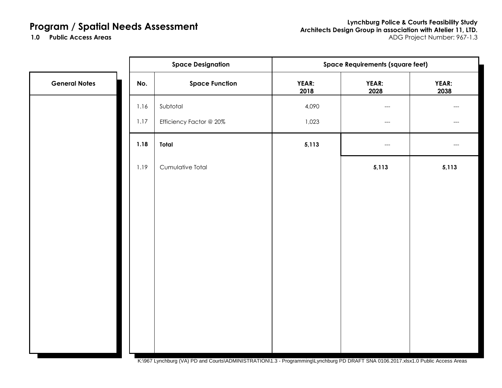**Lynchburg Police & Courts Feasibility Study Architects Design Group in association with Atelier 11, LTD. Public Access Areas** ADG Project Number: 967-1.3

1.0 Public Access Areas

|      | <b>Space Designation</b> | <b>Space Requirements (square feet)</b> |               |               |  |
|------|--------------------------|-----------------------------------------|---------------|---------------|--|
| No.  | <b>Space Function</b>    | YEAR:<br>2018                           | YEAR:<br>2028 | YEAR:<br>2038 |  |
| 1.16 | Subtotal                 | 4,090                                   | $---$         | $---$         |  |
| 1.17 | Efficiency Factor @ 20%  | 1,023                                   | $---$         | $---$         |  |
| 1.18 | Total                    | 5,113                                   | $---$         | $---$         |  |
| 1.19 | Cumulative Total         |                                         | 5,113         | 5,113         |  |
|      |                          |                                         |               |               |  |
|      |                          |                                         |               |               |  |
|      |                          |                                         |               |               |  |
|      |                          |                                         |               |               |  |
|      |                          |                                         |               |               |  |
|      |                          |                                         |               |               |  |
|      |                          |                                         |               |               |  |
|      |                          |                                         |               |               |  |
|      |                          |                                         |               |               |  |

K:\967 Lynchburg (VA) PD and Courts\ADMINISTRATION\1.3 - Programming\Lynchburg PD DRAFT SNA 0106.2017.xlsx1.0 Public Access Areas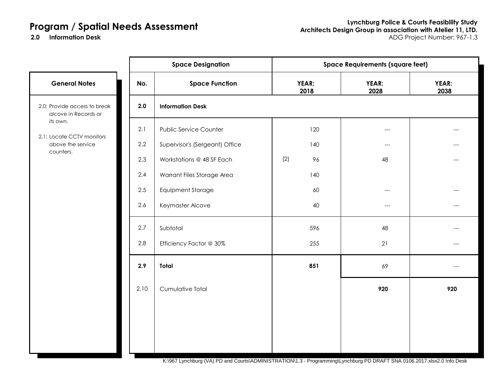2.0 Information Desk

|                                                             |      | <b>Space Designation</b>       | <b>Space Requirements (square feet)</b> |                                     |               |  |
|-------------------------------------------------------------|------|--------------------------------|-----------------------------------------|-------------------------------------|---------------|--|
| <b>General Notes</b>                                        | No.  | <b>Space Function</b>          | YEAR:<br>2018                           | YEAR:<br>2028                       | YEAR:<br>2038 |  |
| 2.0: Provide access to break<br>alcove in Records or        | 2.0  | <b>Information Desk</b>        |                                         |                                     |               |  |
| its own.                                                    | 2.1  | <b>Public Service Counter</b>  | 120                                     | $---$                               |               |  |
| 2.1: Locate CCTV monitors<br>above the service<br>counters. | 2.2  | Supervisor's (Sergeant) Office | 140                                     | $\hspace{0.05cm}---\hspace{0.05cm}$ | $---$         |  |
|                                                             | 2.3  | Workstations @ 48 SF Each      | (2)<br>96                               | 48                                  |               |  |
|                                                             | 2.4  | Warrant Files Storage Area     | 140                                     |                                     |               |  |
|                                                             | 2.5  | <b>Equipment Storage</b>       | 60                                      | $---$                               |               |  |
|                                                             | 2.6  | Keymaster Alcove               | 40                                      | $---$                               |               |  |
|                                                             | 2.7  | Subtotal                       | 596                                     | 48                                  |               |  |
|                                                             | 2.8  | Efficiency Factor @ 30%        | 255                                     | 21                                  | ---           |  |
|                                                             | 2.9  | <b>Total</b>                   | 851                                     | 69                                  | ---           |  |
|                                                             | 2.10 | Cumulative Total               |                                         | 920                                 | 920           |  |
|                                                             |      |                                |                                         |                                     |               |  |
|                                                             |      |                                |                                         |                                     |               |  |
|                                                             |      |                                |                                         |                                     |               |  |
|                                                             |      |                                |                                         |                                     |               |  |

K:\967 Lynchburg (VA) PD and Courts\ADMINISTRATION\1.3 - Programming\Lynchburg PD DRAFT SNA 0106.2017.xlsx2.0 Info Desk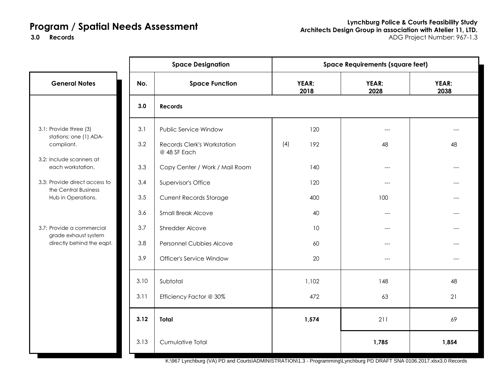**Lynchburg Police & Courts Feasibility Study Architects Design Group in association with Atelier 11, LTD. Records** ADG Project Number: 967-1.3

**3.0**

|                                                       |      | <b>Space Designation</b>                           | <b>Space Requirements (square feet)</b> |       |               |               |
|-------------------------------------------------------|------|----------------------------------------------------|-----------------------------------------|-------|---------------|---------------|
| <b>General Notes</b>                                  | No.  | <b>Space Function</b>                              | YEAR:<br>2018                           |       | YEAR:<br>2028 | YEAR:<br>2038 |
|                                                       | 3.0  | <b>Records</b>                                     |                                         |       |               |               |
| 3.1: Provide three (3)<br>stations; one (1) ADA-      | 3.1  | Public Service Window                              |                                         | 120   | $---$         |               |
| compliant.                                            | 3.2  | <b>Records Clerk's Workstation</b><br>@ 48 SF Each | (4)                                     | 192   | 48            | 48            |
| 3.2: Include scanners at<br>each workstation.         | 3.3  | Copy Center / Work / Mail Room                     |                                         | 140   | $---$         |               |
| 3.3: Provide direct access to<br>the Central Business | 3.4  | Supervisor's Office                                |                                         | 120   | $---$         |               |
| Hub in Operations.                                    | 3.5  | <b>Current Records Storage</b>                     |                                         | 400   | 100           |               |
|                                                       | 3.6  | <b>Small Break Alcove</b>                          |                                         | 40    | $---$         |               |
| 3.7: Provide a commercial<br>grade exhaust system     | 3.7  | Shredder Alcove                                    |                                         | 10    | $---$         |               |
| directly behind the eqpt.                             | 3.8  | Personnel Cubbies Alcove                           |                                         | 60    | $---$         |               |
|                                                       | 3.9  | <b>Officer's Service Window</b>                    |                                         | 20    | $---$         |               |
|                                                       | 3.10 | Subtotal                                           |                                         | 1,102 | 148           | 48            |
|                                                       | 3.11 | Efficiency Factor @ 30%                            |                                         | 472   | 63            | 21            |
|                                                       | 3.12 | Total                                              |                                         | 1,574 | 211           | 69            |
|                                                       | 3.13 | Cumulative Total                                   |                                         |       | 1,785         | 1,854         |

K:\967 Lynchburg (VA) PD and Courts\ADMINISTRATION\1.3 - Programming\Lynchburg PD DRAFT SNA 0106.2017.xlsx3.0 Records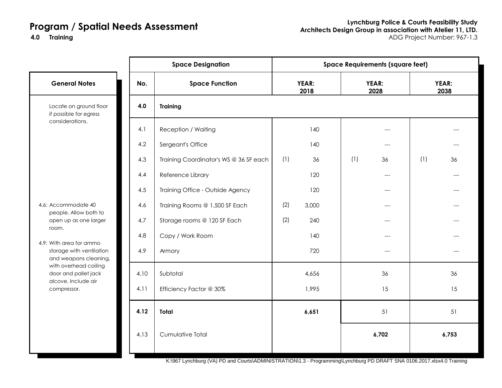**4.0**

|                                                   |      | <b>Space Designation</b>               |     |               |     | <b>Space Requirements (square feet)</b> |     |               |
|---------------------------------------------------|------|----------------------------------------|-----|---------------|-----|-----------------------------------------|-----|---------------|
| <b>General Notes</b>                              | No.  | <b>Space Function</b>                  |     | YEAR:<br>2018 |     | YEAR:<br>2028                           |     | YEAR:<br>2038 |
| Locate on ground floor<br>if possible for egress  | 4.0  | <b>Training</b>                        |     |               |     |                                         |     |               |
| considerations.                                   | 4.1  | <b>Reception / Waiting</b>             |     | 140           |     | ---                                     |     |               |
|                                                   | 4.2  | Sergeant's Office                      |     | 140           |     | $---$                                   |     |               |
|                                                   | 4.3  | Training Coordinator's WS @ 36 SF each | (1) | 36            | (1) | 36                                      | (1) | 36            |
|                                                   | 4.4  | Reference Library                      |     | 120           |     | $---$                                   |     |               |
|                                                   | 4.5  | Training Office - Outside Agency       |     | 120           |     | ---                                     |     |               |
| 4.6: Accommodate 40                               | 4.6  | Training Rooms @ 1,500 SF Each         | (2) | 3,000         |     | $---$                                   |     |               |
| people. Allow both to<br>open up as one larger    | 4.7  | Storage rooms @ 120 SF Each            | (2) | 240           |     | ---                                     |     |               |
| room.<br>4.9: With area for ammo                  | 4.8  | Copy / Work Room                       |     | 140           |     | $---$                                   |     |               |
| storage with ventilation<br>and weapons cleaning, | 4.9  | Armory                                 |     | 720           |     | $---$                                   |     | $---$         |
| with overhead coiling<br>door and pallet jack     | 4.10 | Subtotal                               |     | 4,656         |     | 36                                      |     | 36            |
| alcove. Include air<br>compressor.                | 4.11 | Efficiency Factor @ 30%                |     | 1,995         |     | 15                                      |     | 15            |
|                                                   | 4.12 | <b>Total</b>                           |     | 6,651         |     | 51                                      |     | 51            |
|                                                   | 4.13 | Cumulative Total                       |     |               |     | 6,702                                   |     | 6,753         |
|                                                   |      |                                        |     |               |     |                                         |     |               |

K:\967 Lynchburg (VA) PD and Courts\ADMINISTRATION\1.3 - Programming\Lynchburg PD DRAFT SNA 0106.2017.xlsx4.0 Training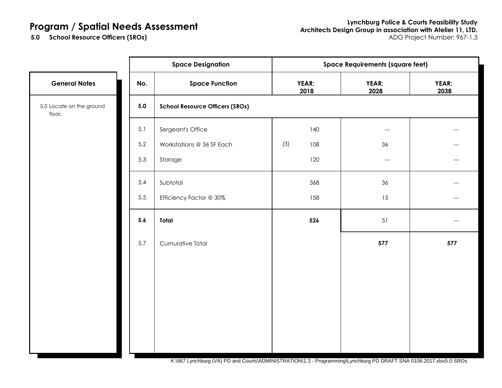5.0 School Resource Officers (SROs)

|                                    |     | <b>Space Designation</b>               | <b>Space Requirements (square feet)</b> |     |                                     |               |
|------------------------------------|-----|----------------------------------------|-----------------------------------------|-----|-------------------------------------|---------------|
| <b>General Notes</b>               | No. | <b>Space Function</b>                  | YEAR:<br>2018                           |     | YEAR:<br>2028                       | YEAR:<br>2038 |
| 5.0 Locate on the ground<br>floor. | 5.0 | <b>School Resource Officers (SROs)</b> |                                         |     |                                     |               |
|                                    | 5.1 | Sergeant's Office                      |                                         | 140 | $\hspace{0.05cm}---\hspace{0.05cm}$ | ---           |
|                                    | 5.2 | Workstations @ 36 SF Each              | (3)                                     | 108 | 36                                  | ---           |
|                                    | 5.3 | Storage                                |                                         | 120 | $\hspace{0.05cm}---\hspace{0.05cm}$ | $---$         |
|                                    | 5.4 | Subtotal                               |                                         | 368 | 36                                  |               |
|                                    | 5.5 | Efficiency Factor @ 30%                |                                         | 158 | 15                                  | ---           |
|                                    | 5.6 | Total                                  |                                         | 526 | $51\,$                              |               |
|                                    | 5.7 | Cumulative Total                       |                                         |     | 577                                 | 577           |
|                                    |     |                                        |                                         |     |                                     |               |
|                                    |     |                                        |                                         |     |                                     |               |
|                                    |     |                                        |                                         |     |                                     |               |
|                                    |     |                                        |                                         |     |                                     |               |
|                                    |     |                                        |                                         |     |                                     |               |
|                                    |     |                                        |                                         |     |                                     |               |

K:\967 Lynchburg (VA) PD and Courts\ADMINISTRATION\1.3 - Programming\Lynchburg PD DRAFT SNA 0106.2017.xlsx5.0 SROs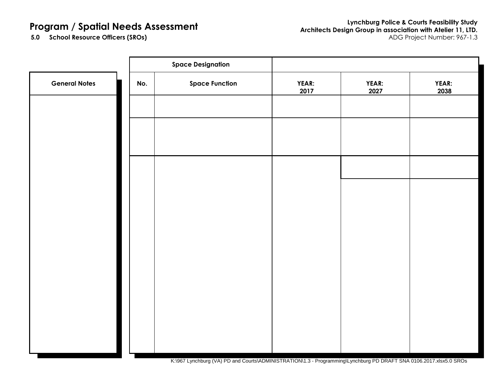**Lynchburg Police & Courts Feasibility Study Architects Design Group in association with Atelier 11, LTD. School Resource Officers (SROs)** ADG Project Number: 967-1.3

5.0 School Resource Officers (SROs)

|                      |     | <b>Space Designation</b> |                      |                      |                      |
|----------------------|-----|--------------------------|----------------------|----------------------|----------------------|
| <b>General Notes</b> | No. | <b>Space Function</b>    | <b>YEAR:</b><br>2017 | <b>YEAR:</b><br>2027 | <b>YEAR:</b><br>2038 |
|                      |     |                          |                      |                      |                      |
|                      |     |                          |                      |                      |                      |
|                      |     |                          |                      |                      |                      |
|                      |     |                          |                      |                      |                      |
|                      |     |                          |                      |                      |                      |
|                      |     |                          |                      |                      |                      |
|                      |     |                          |                      |                      |                      |
|                      |     |                          |                      |                      |                      |
|                      |     |                          |                      |                      |                      |
|                      |     |                          |                      |                      |                      |
|                      |     |                          |                      |                      |                      |
|                      |     |                          |                      |                      |                      |

K:\967 Lynchburg (VA) PD and Courts\ADMINISTRATION\1.3 - Programming\Lynchburg PD DRAFT SNA 0106.2017.xlsx5.0 SROs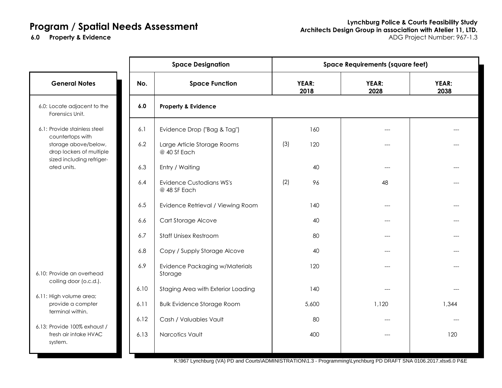|                                                                               |      | <b>Space Designation</b>                        | <b>Space Requirements (square feet)</b> |               |                      |               |  |
|-------------------------------------------------------------------------------|------|-------------------------------------------------|-----------------------------------------|---------------|----------------------|---------------|--|
| <b>General Notes</b>                                                          | No.  | <b>Space Function</b>                           |                                         | YEAR:<br>2018 | <b>YEAR:</b><br>2028 | YEAR:<br>2038 |  |
| 6.0: Locate adjacent to the<br>Forensics Unit.                                | 6.0  | <b>Property &amp; Evidence</b>                  |                                         |               |                      |               |  |
| 6.1: Provide stainless steel<br>countertops with                              | 6.1  | Evidence Drop ("Bag & Tag")                     |                                         | 160           |                      |               |  |
| storage above/below,<br>drop lockers of multiple<br>sized including refriger- | 6.2  | Large Article Storage Rooms<br>@ 40 Sf Each     | (3)                                     | 120           | ---                  |               |  |
| ated units.                                                                   | 6.3  | Entry / Waiting                                 |                                         | 40            | $---$                |               |  |
|                                                                               | 6.4  | <b>Evidence Custodians WS's</b><br>@ 48 SF Each | (2)                                     | 96            | 48                   |               |  |
|                                                                               | 6.5  | Evidence Retrieval / Viewing Room               |                                         | 140           | $---$                |               |  |
|                                                                               | 6.6  | Cart Storage Alcove                             |                                         | 40            |                      |               |  |
|                                                                               | 6.7  | <b>Staff Unisex Restroom</b>                    |                                         | 80            | $---$                |               |  |
|                                                                               | 6.8  | Copy / Supply Storage Alcove                    |                                         | 40            | $---$                |               |  |
| 6.10: Provide an overhead<br>coiling door (o.c.d.).                           | 6.9  | Evidence Packaging w/Materials<br>Storage       |                                         | 120           |                      |               |  |
|                                                                               | 6.10 | Staging Area with Exterior Loading              |                                         | 140           | $---$                |               |  |
| 6.11: High volume area;<br>provide a compter<br>terminal within.              | 6.11 | <b>Bulk Evidence Storage Room</b>               |                                         | 5,600         | 1,120                | 1,344         |  |
|                                                                               | 6.12 | Cash / Valuables Vault                          |                                         | 80            | $---$                |               |  |
| 6.13: Provide 100% exhaust /<br>fresh air intake HVAC<br>system.              | 6.13 | Narcotics Vault                                 |                                         | 400           | $---$                | 120           |  |

K:\967 Lynchburg (VA) PD and Courts\ADMINISTRATION\1.3 - Programming\Lynchburg PD DRAFT SNA 0106.2017.xlsx6.0 P&E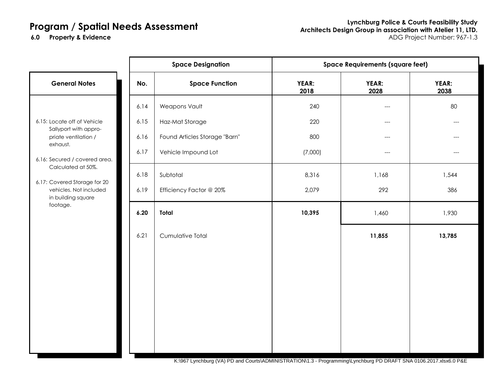**6.0**

|                                                                                          |      | <b>Space Designation</b>      | <b>Space Requirements (square feet)</b> |               |               |
|------------------------------------------------------------------------------------------|------|-------------------------------|-----------------------------------------|---------------|---------------|
| <b>General Notes</b>                                                                     | No.  | <b>Space Function</b>         | <b>YEAR:</b><br>2018                    | YEAR:<br>2028 | YEAR:<br>2038 |
|                                                                                          | 6.14 | Weapons Vault                 | 240                                     | $---$         | 80            |
| 6.15: Locate off of Vehicle<br>Sallyport with appro-                                     | 6.15 | Haz-Mat Storage               | 220                                     | ---           | ---           |
| priate ventilation /                                                                     | 6.16 | Found Articles Storage "Barn" | 800                                     | $---$         | ---           |
| exhaust.<br>6.16: Secured / covered area.                                                | 6.17 | Vehicle Impound Lot           | (7,000)                                 | $---$         |               |
| Calculated at 50%.                                                                       | 6.18 | Subtotal                      | 8,316                                   | 1,168         | 1,544         |
| 6.17: Covered Storage for 20<br>vehicles. Not included<br>in building square<br>footage. | 6.19 | Efficiency Factor @ 20%       | 2,079                                   | 292           | 386           |
|                                                                                          | 6.20 | Total                         | 10,395                                  | 1,460         | 1,930         |
|                                                                                          | 6.21 | Cumulative Total              |                                         | 11,855        | 13,785        |
|                                                                                          |      |                               |                                         |               |               |
|                                                                                          |      |                               |                                         |               |               |
|                                                                                          |      |                               |                                         |               |               |
|                                                                                          |      |                               |                                         |               |               |
|                                                                                          |      |                               |                                         |               |               |
|                                                                                          |      |                               |                                         |               |               |
|                                                                                          |      |                               |                                         |               |               |

K:\967 Lynchburg (VA) PD and Courts\ADMINISTRATION\1.3 - Programming\Lynchburg PD DRAFT SNA 0106.2017.xlsx6.0 P&E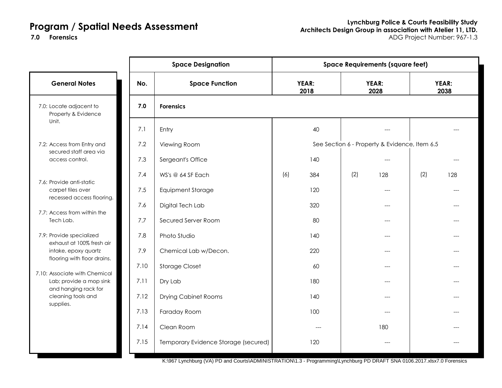**7.0**

|                                                          |      | <b>Space Designation</b>             | <b>Space Requirements (square feet)</b> |                                               |               |  |
|----------------------------------------------------------|------|--------------------------------------|-----------------------------------------|-----------------------------------------------|---------------|--|
| <b>General Notes</b>                                     | No.  | <b>Space Function</b>                | YEAR:<br>2018                           | YEAR:<br>2028                                 | YEAR:<br>2038 |  |
| 7.0: Locate adjacent to<br>Property & Evidence           | 7.0  | <b>Forensics</b>                     |                                         |                                               |               |  |
| Unit.                                                    | 7.1  | Entry                                | 40                                      |                                               |               |  |
| 7.2: Access from Entry and<br>secured staff area via     | 7.2  | Viewing Room                         |                                         | See Section 6 - Property & Evidence, Item 6.5 |               |  |
| access control.                                          | 7.3  | Sergeant's Office                    | 140                                     | $---$                                         |               |  |
|                                                          | 7.4  | WS's @ 64 SF Each                    | (6)<br>384                              | (2)<br>128                                    | (2)<br>128    |  |
| 7.6: Provide anti-static<br>carpet tiles over            | 7.5  | <b>Equipment Storage</b>             | 120                                     |                                               |               |  |
| recessed access flooring.                                | 7.6  | Digital Tech Lab                     | 320                                     | ---                                           |               |  |
| 7.7: Access from within the<br>Tech Lab.                 | 7.7  | Secured Server Room                  | 80                                      |                                               |               |  |
| 7.9: Provide specialized<br>exhaust at 100% fresh air    | 7.8  | Photo Studio                         | 140                                     |                                               |               |  |
| intake, epoxy quartz                                     | 7.9  | Chemical Lab w/Decon.                | 220                                     | $---$                                         |               |  |
| flooring with floor drains.                              | 7.10 | <b>Storage Closet</b>                | 60                                      |                                               |               |  |
| 7.10: Associate with Chemical<br>Lab; provide a mop sink | 7.11 | Dry Lab                              | 180                                     |                                               |               |  |
| and hanging rack for<br>cleaning tools and<br>supplies.  | 7.12 | <b>Drying Cabinet Rooms</b>          | 140                                     | ---                                           |               |  |
|                                                          | 7.13 | Faraday Room                         | 100                                     | ---                                           |               |  |
|                                                          | 7.14 | Clean Room                           | $---$                                   | 180                                           |               |  |
|                                                          | 7.15 | Temporary Evidence Storage (secured) | 120                                     | $---$                                         |               |  |

K:\967 Lynchburg (VA) PD and Courts\ADMINISTRATION\1.3 - Programming\Lynchburg PD DRAFT SNA 0106.2017.xlsx7.0 Forensics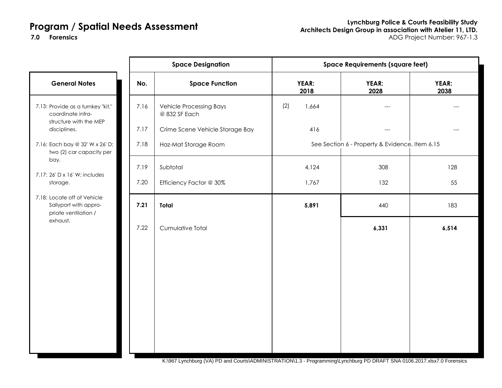**7.0**

|                                                                              |      | <b>Space Designation</b>                        | <b>Space Requirements (square feet)</b> |                                                |               |  |
|------------------------------------------------------------------------------|------|-------------------------------------------------|-----------------------------------------|------------------------------------------------|---------------|--|
| <b>General Notes</b>                                                         | No.  | <b>Space Function</b>                           | YEAR:<br>2018                           | YEAR:<br>2028                                  | YEAR:<br>2038 |  |
| 7.13: Provide as a turnkey "kit,"<br>coordinate infra-                       | 7.16 | <b>Vehicle Processing Bays</b><br>@ 832 SF Each | (2)<br>1,664                            | ---                                            |               |  |
| structure with the MEP<br>disciplines.                                       | 7.17 | Crime Scene Vehicle Storage Bay                 | 416                                     | $---$                                          |               |  |
| 7.16: Each bay @ 32' W x 26' D;<br>two (2) car capacity per                  | 7.18 | Haz-Mat Storage Room                            |                                         | See Section 6 - Property & Evidence, Item 6.15 |               |  |
| bay.                                                                         | 7.19 | Subtotal                                        | 4,124                                   | 308                                            | 128           |  |
| 7.17: 26' D x 16' W; includes<br>storage.                                    | 7.20 | Efficiency Factor @ 30%                         | 1,767                                   | 132                                            | 55            |  |
| 7.18: Locate off of Vehicle<br>Sallyport with appro-<br>priate ventilation / | 7.21 | <b>Total</b>                                    | 5,891                                   | 440                                            | 183           |  |
| exhaust.                                                                     | 7.22 | Cumulative Total                                |                                         | 6,331                                          | 6,514         |  |
|                                                                              |      |                                                 |                                         |                                                |               |  |
|                                                                              |      |                                                 |                                         |                                                |               |  |
|                                                                              |      |                                                 |                                         |                                                |               |  |
|                                                                              |      |                                                 |                                         |                                                |               |  |
|                                                                              |      |                                                 |                                         |                                                |               |  |
|                                                                              |      |                                                 |                                         |                                                |               |  |
|                                                                              |      |                                                 |                                         |                                                |               |  |

K:\967 Lynchburg (VA) PD and Courts\ADMINISTRATION\1.3 - Programming\Lynchburg PD DRAFT SNA 0106.2017.xlsx7.0 Forensics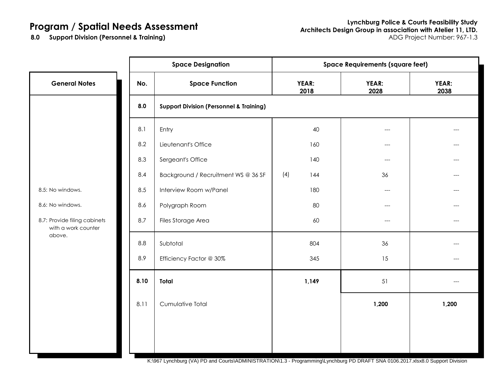8.0 Support Division (Personnel & Training)

|                                                     |      | <b>Space Designation</b>                           | <b>Space Requirements (square feet)</b> |                                     |               |  |
|-----------------------------------------------------|------|----------------------------------------------------|-----------------------------------------|-------------------------------------|---------------|--|
| <b>General Notes</b>                                | No.  | <b>Space Function</b>                              | YEAR:<br>2018                           | YEAR:<br>2028                       | YEAR:<br>2038 |  |
|                                                     | 8.0  | <b>Support Division (Personnel &amp; Training)</b> |                                         |                                     |               |  |
|                                                     | 8.1  | Entry                                              | 40                                      | ---                                 |               |  |
|                                                     | 8.2  | Lieutenant's Office                                | 160                                     | ---                                 |               |  |
|                                                     | 8.3  | Sergeant's Office                                  | 140                                     | $---$                               | ---           |  |
|                                                     | 8.4  | Background / Recruitment WS @ 36 SF                | (4)<br>144                              | 36                                  | ---           |  |
| 8.5: No windows.                                    | 8.5  | Interview Room w/Panel                             | 180                                     | $\hspace{0.05cm}---\hspace{0.05cm}$ | ---           |  |
| 8.6: No windows.                                    | 8.6  | Polygraph Room                                     | 80                                      | ---                                 |               |  |
| 8.7: Provide filing cabinets<br>with a work counter | 8.7  | Files Storage Area                                 | 60                                      | ---                                 | ---           |  |
| above.                                              | 8.8  | Subtotal                                           | 804                                     | 36                                  |               |  |
|                                                     | 8.9  | Efficiency Factor @ 30%                            | 345                                     | 15                                  | ---           |  |
|                                                     | 8.10 | Total                                              | 1,149                                   | 51                                  | ---           |  |
|                                                     | 8.11 | Cumulative Total                                   |                                         | 1,200                               | 1,200         |  |
|                                                     |      |                                                    |                                         |                                     |               |  |
|                                                     |      |                                                    |                                         |                                     |               |  |

K:\967 Lynchburg (VA) PD and Courts\ADMINISTRATION\1.3 - Programming\Lynchburg PD DRAFT SNA 0106.2017.xlsx8.0 Support Division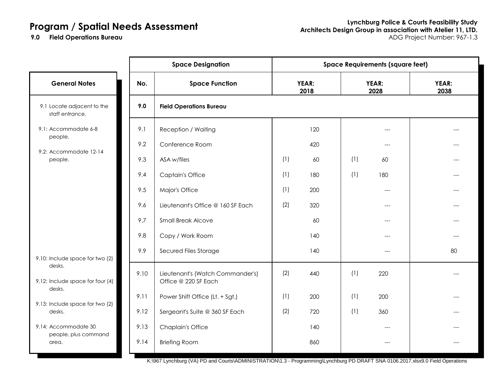**9.0 Field Operations Bureau** 

|                                               |      | <b>Space Designation</b>                                 | <b>Space Requirements (square feet)</b> |               |     |               |               |
|-----------------------------------------------|------|----------------------------------------------------------|-----------------------------------------|---------------|-----|---------------|---------------|
| <b>General Notes</b>                          | No.  | <b>Space Function</b>                                    |                                         | YEAR:<br>2018 |     | YEAR:<br>2028 | YEAR:<br>2038 |
| 9.1 Locate adjacent to the<br>staff entrance. | 9.0  | <b>Field Operations Bureau</b>                           |                                         |               |     |               |               |
| 9.1: Accommodate 6-8<br>people.               | 9.1  | Reception / Waiting                                      |                                         | 120           |     |               |               |
|                                               | 9.2  | Conference Room                                          |                                         | 420           |     | ---           |               |
| 9.2: Accommodate 12-14<br>people.             | 9.3  | ASA w/files                                              | (1)                                     | 60            | (1) | 60            |               |
|                                               | 9.4  | <b>Captain's Office</b>                                  | (1)                                     | 180           | (1) | 180           |               |
|                                               | 9.5  | Major's Office                                           | (1)                                     | 200           |     |               |               |
|                                               | 9.6  | Lieutenant's Office @ 160 SF Each                        | (2)                                     | 320           |     | ---           |               |
|                                               | 9.7  | <b>Small Break Alcove</b>                                |                                         | 60            |     | ---           |               |
|                                               | 9.8  | Copy / Work Room                                         |                                         | 140           |     | ---           |               |
| 9.10: Include space for two (2)               | 9.9  | Secured Files Storage                                    |                                         | 140           |     | ---           | 80            |
| desks.<br>9.12: Include space for four (4)    | 9.10 | Lieutenant's (Watch Commander's)<br>Office @ 220 SF Each | (2)                                     | 440           | (1) | 220           |               |
| desks.                                        | 9.11 | Power Shift Office (Lt. + Sgt.)                          | (1)                                     | 200           | (1) | 200           |               |
| 9.13: Include space for two (2)<br>desks.     | 9.12 | Sergeant's Suite @ 360 SF Each                           | (2)                                     | 720           | (1) | 360           |               |
| 9.14: Accommodate 30                          | 9.13 | <b>Chaplain's Office</b>                                 |                                         | 140           |     | $---$         |               |
| people, plus command<br>area.                 | 9.14 | <b>Briefing Room</b>                                     |                                         | 860           |     | ---           |               |

K:\967 Lynchburg (VA) PD and Courts\ADMINISTRATION\1.3 - Programming\Lynchburg PD DRAFT SNA 0106.2017.xlsx9.0 Field Operations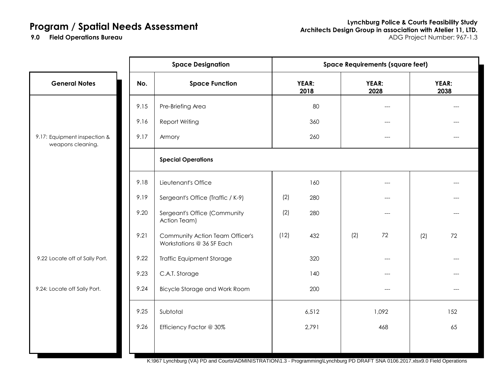**Lynchburg Police & Courts Feasibility Study Architects Design Group in association with Atelier 11, LTD. Field Operations Bureau** ADG Project Number: 967-1.3

**9.0 Field Operations Bureau** 

|                                                   | <b>Space Designation</b> |                                                              | <b>Space Requirements (square feet)</b> |               |               |     |               |
|---------------------------------------------------|--------------------------|--------------------------------------------------------------|-----------------------------------------|---------------|---------------|-----|---------------|
| <b>General Notes</b>                              | No.                      | <b>Space Function</b>                                        |                                         | YEAR:<br>2018 | YEAR:<br>2028 |     | YEAR:<br>2038 |
|                                                   | 9.15                     | Pre-Briefing Area                                            |                                         | 80            | ---           |     |               |
|                                                   | 9.16                     | <b>Report Writing</b>                                        |                                         | 360           | ---           |     |               |
| 9.17: Equipment inspection &<br>weapons cleaning. | 9.17                     | Armory                                                       |                                         | 260           | ---           |     |               |
|                                                   |                          | <b>Special Operations</b>                                    |                                         |               |               |     |               |
|                                                   | 9.18                     | Lieutenant's Office                                          |                                         | 160           | ---           |     |               |
|                                                   | 9.19                     | Sergeant's Office (Traffic / K-9)                            | (2)                                     | 280           | $---$         |     |               |
|                                                   | 9.20                     | Sergeant's Office (Community<br>Action Team)                 | (2)                                     | 280           | $---$         |     |               |
|                                                   | 9.21                     | Community Action Team Officer's<br>Workstations @ 36 SF Each | (12)                                    | 432           | (2)<br>72     | (2) | 72            |
| 9.22 Locate off of Sally Port.                    | 9.22                     | <b>Traffic Equipment Storage</b>                             |                                         | 320           | $---$         |     | ---           |
|                                                   | 9.23                     | C.A.T. Storage                                               |                                         | 140           | $---$         |     |               |
| 9.24: Locate off Sally Port.                      | 9.24                     | Bicycle Storage and Work Room                                |                                         | 200           |               |     |               |
|                                                   | 9.25                     | Subtotal                                                     |                                         | 6,512         | 1,092         |     | 152           |
|                                                   | 9.26                     | Efficiency Factor @ 30%                                      |                                         | 2,791         | 468           |     | 65            |
|                                                   |                          |                                                              |                                         |               |               |     |               |

K:\967 Lynchburg (VA) PD and Courts\ADMINISTRATION\1.3 - Programming\Lynchburg PD DRAFT SNA 0106.2017.xlsx9.0 Field Operations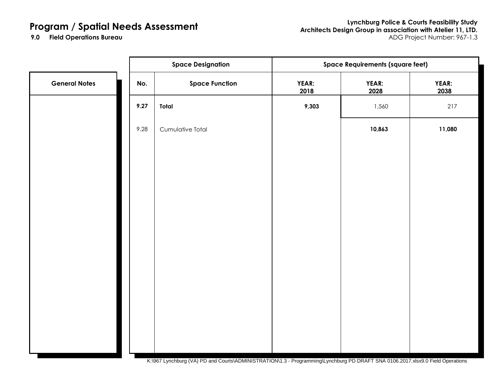**Lynchburg Police & Courts Feasibility Study Architects Design Group in association with Atelier 11, LTD. Field Operations Bureau** ADG Project Number: 967-1.3

**9.0 Field Operations Bureau** 

|                      | <b>Space Designation</b> |                                                                                                                                                                                                                                                                                                                                                                                | <b>Space Requirements (square feet)</b> |               |               |
|----------------------|--------------------------|--------------------------------------------------------------------------------------------------------------------------------------------------------------------------------------------------------------------------------------------------------------------------------------------------------------------------------------------------------------------------------|-----------------------------------------|---------------|---------------|
| <b>General Notes</b> | No.                      | <b>Space Function</b>                                                                                                                                                                                                                                                                                                                                                          | YEAR:<br>2018                           | YEAR:<br>2028 | YEAR:<br>2038 |
|                      | 9.27                     | Total                                                                                                                                                                                                                                                                                                                                                                          | 9,303                                   | 1,560         | 217           |
|                      | 9.28                     | Cumulative Total                                                                                                                                                                                                                                                                                                                                                               |                                         | 10,863        | 11,080        |
|                      |                          |                                                                                                                                                                                                                                                                                                                                                                                |                                         |               |               |
|                      |                          |                                                                                                                                                                                                                                                                                                                                                                                |                                         |               |               |
|                      |                          |                                                                                                                                                                                                                                                                                                                                                                                |                                         |               |               |
|                      |                          |                                                                                                                                                                                                                                                                                                                                                                                |                                         |               |               |
|                      |                          |                                                                                                                                                                                                                                                                                                                                                                                |                                         |               |               |
|                      |                          |                                                                                                                                                                                                                                                                                                                                                                                |                                         |               |               |
|                      |                          |                                                                                                                                                                                                                                                                                                                                                                                |                                         |               |               |
|                      |                          |                                                                                                                                                                                                                                                                                                                                                                                |                                         |               |               |
|                      |                          |                                                                                                                                                                                                                                                                                                                                                                                |                                         |               |               |
|                      |                          | $(11)$ $\overline{R}$ $\overline{R}$ $\overline{R}$ $\overline{R}$ $\overline{R}$ $\overline{R}$ $\overline{R}$ $\overline{R}$ $\overline{R}$ $\overline{R}$ $\overline{R}$ $\overline{R}$ $\overline{R}$ $\overline{R}$ $\overline{R}$ $\overline{R}$ $\overline{R}$ $\overline{R}$ $\overline{R}$ $\overline{R}$ $\overline{R}$ $\overline{R}$ $\overline{R}$ $\overline{R}$ |                                         |               |               |

K:\967 Lynchburg (VA) PD and Courts\ADMINISTRATION\1.3 - Programming\Lynchburg PD DRAFT SNA 0106.2017.xlsx9.0 Field Operations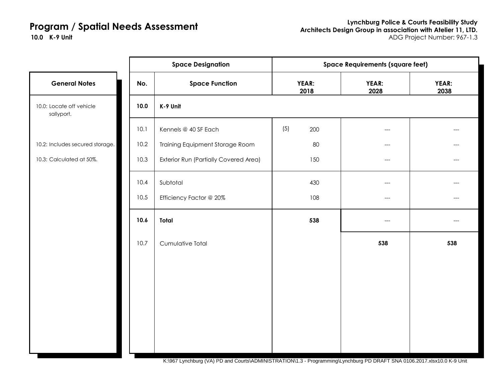|                                        | <b>Space Designation</b> |                                       | <b>Space Requirements (square feet)</b> |               |               |  |
|----------------------------------------|--------------------------|---------------------------------------|-----------------------------------------|---------------|---------------|--|
| <b>General Notes</b>                   | No.                      | <b>Space Function</b>                 | YEAR:<br>2018                           | YEAR:<br>2028 | YEAR:<br>2038 |  |
| 10.0: Locate off vehicle<br>sallyport. | 10.0                     | K-9 Unit                              |                                         |               |               |  |
|                                        | 10.1                     | Kennels @ 40 SF Each                  | (5)<br>200                              | ---           |               |  |
| 10.2: Includes secured storage.        | 10.2                     | Training Equipment Storage Room       | 80                                      | $---$         |               |  |
| 10.3: Calculated at 50%.               | 10.3                     | Exterior Run (Partially Covered Area) | 150                                     | $---$         | ---           |  |
|                                        | 10.4                     | Subtotal                              | 430                                     | ---           |               |  |
|                                        | 10.5                     | Efficiency Factor @ 20%               | 108                                     | ---           |               |  |
|                                        | 10.6                     | <b>Total</b>                          | 538                                     | ---           |               |  |
|                                        | 10.7                     | Cumulative Total                      |                                         | 538           | 538           |  |
|                                        |                          |                                       |                                         |               |               |  |
|                                        |                          |                                       |                                         |               |               |  |
|                                        |                          |                                       |                                         |               |               |  |
|                                        |                          |                                       |                                         |               |               |  |
|                                        |                          |                                       |                                         |               |               |  |
|                                        |                          |                                       |                                         |               |               |  |

K:\967 Lynchburg (VA) PD and Courts\ADMINISTRATION\1.3 - Programming\Lynchburg PD DRAFT SNA 0106.2017.xlsx10.0 K-9 Unit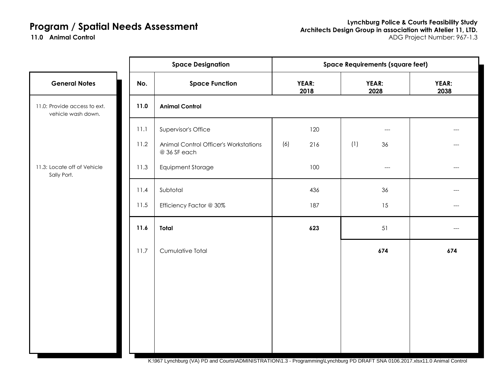11.0 **Animal Control** 

| YEAR:<br>2038 |
|---------------|
|               |
|               |
|               |
|               |
| ---           |
|               |
| $---$         |
|               |
| 674           |
|               |
|               |
|               |
|               |
|               |
|               |

K:\967 Lynchburg (VA) PD and Courts\ADMINISTRATION\1.3 - Programming\Lynchburg PD DRAFT SNA 0106.2017.xlsx11.0 Animal Control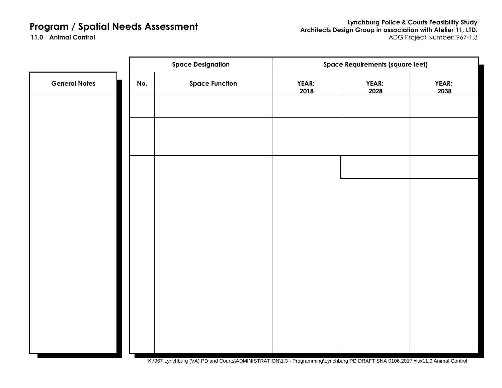11.0 **Animal Control** 

|                      | <b>Space Designation</b> |                       | <b>Space Requirements (square feet)</b> |               |                      |
|----------------------|--------------------------|-----------------------|-----------------------------------------|---------------|----------------------|
| <b>General Notes</b> | No.                      | <b>Space Function</b> | YEAR:<br>2018                           | YEAR:<br>2028 | <b>YEAR:</b><br>2038 |
|                      |                          |                       |                                         |               |                      |
|                      |                          |                       |                                         |               |                      |
|                      |                          |                       |                                         |               |                      |
|                      |                          |                       |                                         |               |                      |
|                      |                          |                       |                                         |               |                      |
|                      |                          |                       |                                         |               |                      |
|                      |                          |                       |                                         |               |                      |
|                      |                          |                       |                                         |               |                      |
|                      |                          |                       |                                         |               |                      |
|                      |                          |                       |                                         |               |                      |
|                      |                          |                       |                                         |               |                      |
|                      |                          |                       |                                         |               |                      |

K:\967 Lynchburg (VA) PD and Courts\ADMINISTRATION\1.3 - Programming\Lynchburg PD DRAFT SNA 0106.2017.xlsx11.0 Animal Control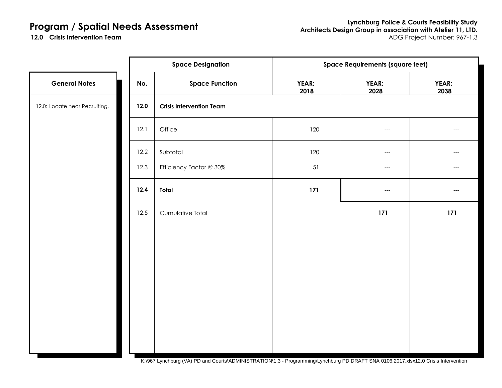12.0 Crisis Intervention Team

|                               |      | <b>Space Designation</b>        | <b>Space Requirements (square feet)</b> |                                     |               |
|-------------------------------|------|---------------------------------|-----------------------------------------|-------------------------------------|---------------|
| <b>General Notes</b>          | No.  | <b>Space Function</b>           | YEAR:<br>2018                           | YEAR:<br>2028                       | YEAR:<br>2038 |
| 12.0: Locate near Recruiting. | 12.0 | <b>Crisis Intervention Team</b> |                                         |                                     |               |
|                               | 12.1 | Office                          | 120                                     | $\hspace{0.05cm}---\hspace{0.05cm}$ | ---           |
|                               | 12.2 | Subtotal                        | 120                                     | $\hspace{0.05cm}---$                | ---           |
|                               | 12.3 | Efficiency Factor @ 30%         | 51                                      | $\hspace{0.05cm}---$                | ---           |
|                               | 12.4 | Total                           | 171                                     | $---$                               | ---           |
|                               | 12.5 | Cumulative Total                |                                         | 171                                 | 171           |
|                               |      |                                 |                                         |                                     |               |
|                               |      |                                 |                                         |                                     |               |
|                               |      |                                 |                                         |                                     |               |
|                               |      |                                 |                                         |                                     |               |
|                               |      |                                 |                                         |                                     |               |
|                               |      |                                 |                                         |                                     |               |
|                               |      |                                 |                                         |                                     |               |

K:\967 Lynchburg (VA) PD and Courts\ADMINISTRATION\1.3 - Programming\Lynchburg PD DRAFT SNA 0106.2017.xlsx12.0 Crisis Intervention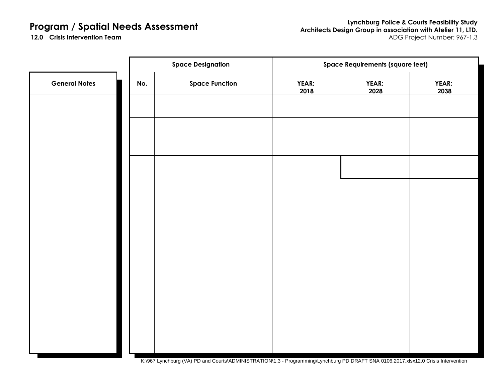**Lynchburg Police & Courts Feasibility Study Architects Design Group in association with Atelier 11, LTD. Crisis Intervention Team** ADG Project Number: 967-1.3

12.0 Crisis Intervention Team

|                      | <b>Space Designation</b> |                                                                                                                                        | <b>Space Requirements (square feet)</b> |                      |               |  |
|----------------------|--------------------------|----------------------------------------------------------------------------------------------------------------------------------------|-----------------------------------------|----------------------|---------------|--|
| <b>General Notes</b> | No.                      | <b>Space Function</b>                                                                                                                  | YEAR:<br>2018                           | <b>YEAR:</b><br>2028 | YEAR:<br>2038 |  |
|                      |                          |                                                                                                                                        |                                         |                      |               |  |
|                      |                          |                                                                                                                                        |                                         |                      |               |  |
|                      |                          |                                                                                                                                        |                                         |                      |               |  |
|                      |                          |                                                                                                                                        |                                         |                      |               |  |
|                      |                          |                                                                                                                                        |                                         |                      |               |  |
|                      |                          |                                                                                                                                        |                                         |                      |               |  |
|                      |                          |                                                                                                                                        |                                         |                      |               |  |
|                      |                          |                                                                                                                                        |                                         |                      |               |  |
|                      |                          |                                                                                                                                        |                                         |                      |               |  |
|                      |                          |                                                                                                                                        |                                         |                      |               |  |
|                      |                          |                                                                                                                                        |                                         |                      |               |  |
|                      |                          |                                                                                                                                        |                                         |                      |               |  |
|                      |                          | KJ007 Lunghburg (VA) DD and Courted ADMINICTD ATION 4.0. Dreampopularly unghburg DD DD AFT CNA 0400.0047 vloud 0.0 Cripin Intervention |                                         |                      |               |  |

K:\967 Lynchburg (VA) PD and Courts\ADMINISTRATION\1.3 - Programming\Lynchburg PD DRAFT SNA 0106.2017.xlsx12.0 Crisis Intervention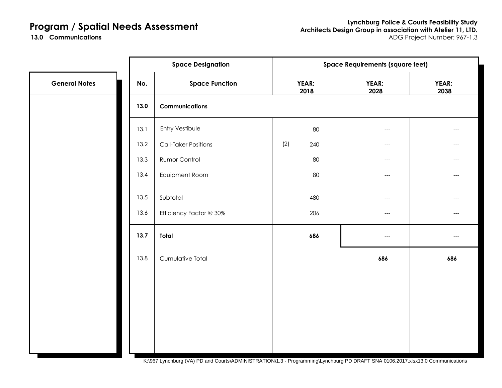13.0 **Communications** 

|                      |      | <b>Space Designation</b>    | <b>Space Requirements (square feet)</b> |     |               |               |
|----------------------|------|-----------------------------|-----------------------------------------|-----|---------------|---------------|
| <b>General Notes</b> | No.  | <b>Space Function</b>       | YEAR:<br>2018                           |     | YEAR:<br>2028 | YEAR:<br>2038 |
|                      | 13.0 | <b>Communications</b>       |                                         |     |               |               |
|                      | 13.1 | Entry Vestibule             |                                         | 80  | $---$         | ---           |
|                      | 13.2 | <b>Call-Taker Positions</b> | (2)                                     | 240 | $---$         | ---           |
|                      | 13.3 | Rumor Control               |                                         | 80  | $---$         | ---           |
|                      | 13.4 | Equipment Room              |                                         | 80  | $---$         | $---$         |
|                      | 13.5 | Subtotal                    |                                         | 480 | ---           | ---           |
|                      | 13.6 | Efficiency Factor @ 30%     |                                         | 206 | $---$         | $---$         |
|                      | 13.7 | Total                       |                                         | 686 | $---$         | ---           |
|                      | 13.8 | Cumulative Total            |                                         |     | 686           | 686           |
|                      |      |                             |                                         |     |               |               |
|                      |      |                             |                                         |     |               |               |
|                      |      |                             |                                         |     |               |               |
|                      |      |                             |                                         |     |               |               |
|                      |      |                             |                                         |     |               |               |
|                      |      |                             |                                         |     |               |               |

K:\967 Lynchburg (VA) PD and Courts\ADMINISTRATION\1.3 - Programming\Lynchburg PD DRAFT SNA 0106.2017.xlsx13.0 Communications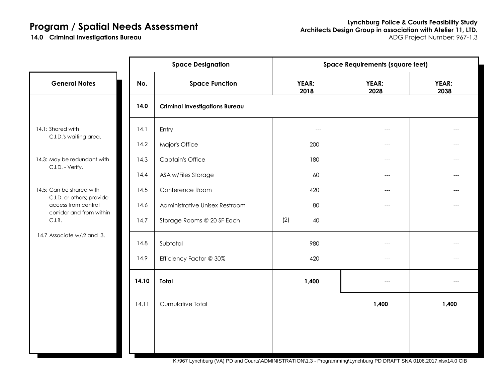**14.0 Criminal Investigations Bureau** 

|                                                                              | <b>Space Designation</b> |                                       | <b>Space Requirements (square feet)</b> |               |               |  |
|------------------------------------------------------------------------------|--------------------------|---------------------------------------|-----------------------------------------|---------------|---------------|--|
| <b>General Notes</b>                                                         | No.                      | <b>Space Function</b>                 | YEAR:<br>2018                           | YEAR:<br>2028 | YEAR:<br>2038 |  |
|                                                                              | 14.0                     | <b>Criminal Investigations Bureau</b> |                                         |               |               |  |
| 14.1: Shared with<br>C.I.D.'s waiting area.                                  | 14.1                     | Entry                                 | ---                                     | ---           |               |  |
|                                                                              | 14.2                     | Major's Office                        | 200                                     | $---$         |               |  |
| 14.3: May be redundant with                                                  | 14.3                     | <b>Captain's Office</b>               | 180                                     | ---           |               |  |
| C.I.D. - Verify.                                                             | 14.4                     | ASA w/Files Storage                   | 60                                      | $---$         |               |  |
| 14.5: Can be shared with                                                     | 14.5                     | Conference Room                       | 420                                     | $---$         |               |  |
| C.I.D. or others; provide<br>access from central<br>corridor and from within | 14.6                     | Administrative Unisex Restroom        | 80                                      | ---           |               |  |
| C.I.B.                                                                       | 14.7                     | Storage Rooms @ 20 SF Each            | (2)<br>40                               |               |               |  |
| 14.7 Associate w/.2 and .3.                                                  | 14.8                     | Subtotal                              | 980                                     | ---           |               |  |
|                                                                              | 14.9                     | Efficiency Factor @ 30%               | 420                                     | $---$         |               |  |
|                                                                              | 14.10                    | Total                                 | 1,400                                   | ---           |               |  |
|                                                                              | 14.11                    | Cumulative Total                      |                                         | 1,400         | 1,400         |  |
|                                                                              |                          |                                       |                                         |               |               |  |
|                                                                              |                          |                                       |                                         |               |               |  |
|                                                                              |                          |                                       |                                         |               |               |  |

K:\967 Lynchburg (VA) PD and Courts\ADMINISTRATION\1.3 - Programming\Lynchburg PD DRAFT SNA 0106.2017.xlsx14.0 CIB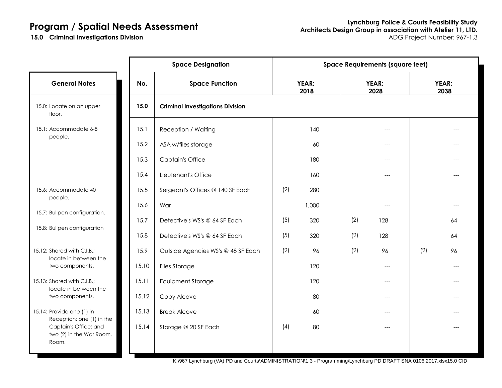**15.0 Criminal Investigations Division** 

|                                                            |       | <b>Space Designation</b>                | <b>Space Requirements (square feet)</b> |               |     |               |     |               |  |
|------------------------------------------------------------|-------|-----------------------------------------|-----------------------------------------|---------------|-----|---------------|-----|---------------|--|
| <b>General Notes</b>                                       | No.   | <b>Space Function</b>                   |                                         | YEAR:<br>2018 |     | YEAR:<br>2028 |     | YEAR:<br>2038 |  |
| 15.0: Locate on an upper<br>floor.                         | 15.0  | <b>Criminal Investigations Division</b> |                                         |               |     |               |     |               |  |
| 15.1: Accommodate 6-8                                      | 15.1  | Reception / Waiting                     |                                         | 140           |     | ---           |     |               |  |
| people.                                                    | 15.2  | ASA w/files storage                     |                                         | 60            |     | ---           |     |               |  |
|                                                            | 15.3  | <b>Captain's Office</b>                 |                                         | 180           |     | ---           |     |               |  |
|                                                            | 15.4  | Lieutenant's Office                     |                                         | 160           |     | ---           |     |               |  |
| 15.6: Accommodate 40                                       | 15.5  | Sergeant's Offices @ 140 SF Each        | (2)                                     | 280           |     |               |     |               |  |
| people.<br>15.7: Bullpen configuration.                    | 15.6  | War                                     |                                         | 1,000         |     |               |     |               |  |
| 15.8: Bullpen configuration                                | 15.7  | Detective's WS's @ 64 SF Each           | (5)                                     | 320           | (2) | 128           |     | 64            |  |
|                                                            | 15.8  | Detective's WS's @ 64 SF Each           | (5)                                     | 320           | (2) | 128           |     | 64            |  |
| 15.12: Shared with C.I.B.;<br>locate in between the        | 15.9  | Outside Agencies WS's @ 48 SF Each      | (2)                                     | 96            | (2) | 96            | (2) | 96            |  |
| two components.                                            | 15.10 | <b>Files Storage</b>                    |                                         | 120           |     |               |     |               |  |
| 15.13: Shared with C.I.B.;<br>locate in between the        | 15.11 | <b>Equipment Storage</b>                |                                         | 120           |     | ---           |     |               |  |
| two components.                                            | 15.12 | Copy Alcove                             |                                         | 80            |     |               |     |               |  |
| 15.14: Provide one (1) in<br>Reception; one (1) in the     | 15.13 | <b>Break Alcove</b>                     |                                         | 60            |     | ---           |     |               |  |
| Captain's Office; and<br>two (2) in the War Room.<br>Room. | 15.14 | Storage @ 20 SF Each                    | (4)                                     | 80            |     | ---           |     |               |  |

K:\967 Lynchburg (VA) PD and Courts\ADMINISTRATION\1.3 - Programming\Lynchburg PD DRAFT SNA 0106.2017.xlsx15.0 CID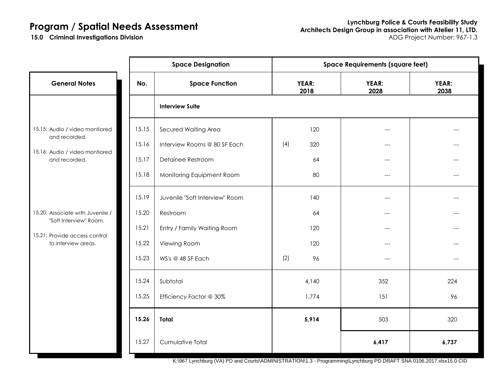**15.0 Criminal Investigations Division** 

|                                                      | <b>Space Designation</b> |                                |     |               | <b>Space Requirements (square feet)</b> |               |  |  |
|------------------------------------------------------|--------------------------|--------------------------------|-----|---------------|-----------------------------------------|---------------|--|--|
| <b>General Notes</b>                                 | No.                      | <b>Space Function</b>          |     | YEAR:<br>2018 | YEAR:<br>2028                           | YEAR:<br>2038 |  |  |
|                                                      |                          | <b>Interview Suite</b>         |     |               |                                         |               |  |  |
| 15.15: Audio / video montiored<br>and recorded.      | 15.15                    | Secured Waiting Area           |     | 120           | ---                                     |               |  |  |
|                                                      | 15.16                    | Interview Rooms @ 80 SF Each   | (4) | 320           | $---$                                   |               |  |  |
| 15.16: Audio / video montiored<br>and recorded.      | 15.17                    | Detainee Restroom              |     | 64            |                                         |               |  |  |
|                                                      | 15.18                    | Monitoring Equipment Room      |     | 80            | ---                                     |               |  |  |
|                                                      | 15.19                    | Juvenile "Soft Interview" Room |     | 140           |                                         |               |  |  |
| 15.20: Associate with Juvenile /                     | 15.20                    | Restroom                       |     | 64            | $---$                                   |               |  |  |
| "Soft Interview" Room.                               | 15.21                    | Entry / Family Waiting Room    |     | 120           | $---$                                   | ---           |  |  |
| 15.21: Provide access control<br>to interview areas. | 15.22                    | Viewing Room                   |     | 120           | ---                                     |               |  |  |
|                                                      | 15.23                    | WS's @ 48 SF Each              | (2) | 96            | $---$                                   | ---           |  |  |
|                                                      | 15.24                    | Subtotal                       |     | 4,140         | 352                                     | 224           |  |  |
|                                                      | 15.25                    | Efficiency Factor @ 30%        |     | 1,774         | 151                                     | 96            |  |  |
|                                                      | 15.26                    | Total                          |     | 5,914         | 503                                     | 320           |  |  |
|                                                      | 15.27                    | Cumulative Total               |     |               | 6,417                                   | 6,737         |  |  |

K:\967 Lynchburg (VA) PD and Courts\ADMINISTRATION\1.3 - Programming\Lynchburg PD DRAFT SNA 0106.2017.xlsx15.0 CID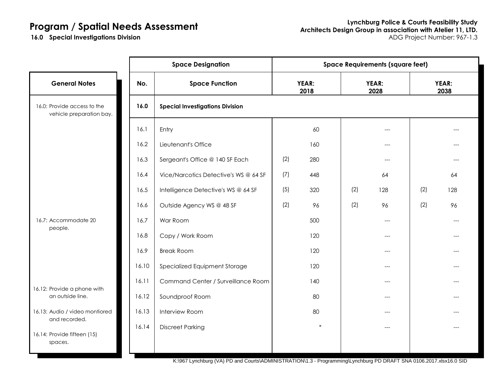**16.0 Special Investigations Division** 

|                                                         |       | <b>Space Designation</b>               | <b>Space Requirements (square feet)</b> |               |     |               |     |               |
|---------------------------------------------------------|-------|----------------------------------------|-----------------------------------------|---------------|-----|---------------|-----|---------------|
| <b>General Notes</b>                                    | No.   | <b>Space Function</b>                  |                                         | YEAR:<br>2018 |     | YEAR:<br>2028 |     | YEAR:<br>2038 |
| 16.0: Provide access to the<br>vehicle preparation bay. | 16.0  | <b>Special Investigations Division</b> |                                         |               |     |               |     |               |
|                                                         | 16.1  | Entry                                  |                                         | 60            |     |               |     |               |
|                                                         | 16.2  | Lieutenant's Office                    |                                         | 160           |     |               |     |               |
|                                                         | 16.3  | Sergeant's Office @ 140 SF Each        | (2)                                     | 280           |     | ---           |     |               |
|                                                         | 16.4  | Vice/Narcotics Detective's WS @ 64 SF  | (7)                                     | 448           |     | 64            |     | 64            |
|                                                         | 16.5  | Intelligence Detective's WS @ 64 SF    | (5)                                     | 320           | (2) | 128           | (2) | 128           |
|                                                         | 16.6  | Outside Agency WS @ 48 SF              | (2)                                     | 96            | (2) | 96            | (2) | 96            |
| 16.7: Accommodate 20                                    | 16.7  | War Room                               |                                         | 500           |     | $---$         |     |               |
| people.                                                 | 16.8  | Copy / Work Room                       |                                         | 120           |     |               |     |               |
|                                                         | 16.9  | <b>Break Room</b>                      |                                         | 120           |     | ---           |     |               |
|                                                         | 16.10 | Specialized Equipment Storage          |                                         | 120           |     | ---           |     |               |
|                                                         | 16.11 | Command Center / Surveillance Room     |                                         | 140           |     | ---           |     |               |
| 16.12: Provide a phone with<br>an outside line.         | 16.12 | Soundproof Room                        |                                         | 80            |     | $---$         |     |               |
| 16.13: Audio / video montiored                          | 16.13 | <b>Interview Room</b>                  |                                         | 80            |     | $---$         |     |               |
| and recorded.<br>16.14: Provide fifteen (15)<br>spaces. | 16.14 | <b>Discreet Parking</b>                |                                         | $\ast$        |     |               |     |               |

K:\967 Lynchburg (VA) PD and Courts\ADMINISTRATION\1.3 - Programming\Lynchburg PD DRAFT SNA 0106.2017.xlsx16.0 SID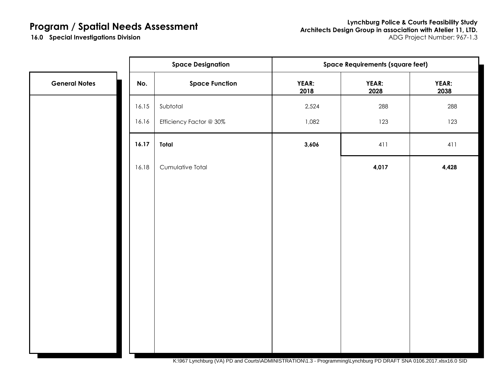**Lynchburg Police & Courts Feasibility Study Architects Design Group in association with Atelier 11, LTD. Special Investigations Division** ADG Project Number: 967-1.3

**16.0 Special Investigations Division** 

|                      |       | <b>Space Designation</b> | <b>Space Requirements (square feet)</b> |               |               |  |  |
|----------------------|-------|--------------------------|-----------------------------------------|---------------|---------------|--|--|
| <b>General Notes</b> | No.   | <b>Space Function</b>    | YEAR:<br>2018                           | YEAR:<br>2028 | YEAR:<br>2038 |  |  |
|                      | 16.15 | Subtotal                 | 2,524                                   | 288           | 288           |  |  |
|                      | 16.16 | Efficiency Factor @ 30%  | 1,082                                   | 123           | 123           |  |  |
|                      | 16.17 | Total                    | 3,606                                   | 411           | 411           |  |  |
|                      | 16.18 | Cumulative Total         |                                         | 4,017         | 4,428         |  |  |
|                      |       |                          |                                         |               |               |  |  |
|                      |       |                          |                                         |               |               |  |  |
|                      |       |                          |                                         |               |               |  |  |
|                      |       |                          |                                         |               |               |  |  |
|                      |       |                          |                                         |               |               |  |  |
|                      |       |                          |                                         |               |               |  |  |
|                      |       |                          |                                         |               |               |  |  |
|                      |       |                          |                                         |               |               |  |  |
|                      |       |                          |                                         |               |               |  |  |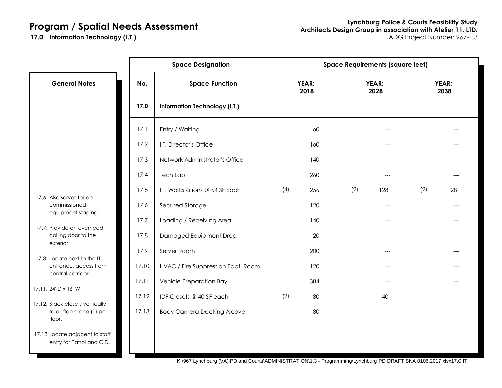**17.0 Information Technology (I.T.)** 

|                                                                         |       | <b>Space Designation</b>             | <b>Space Requirements (square feet)</b> |               |     |               |     |                      |
|-------------------------------------------------------------------------|-------|--------------------------------------|-----------------------------------------|---------------|-----|---------------|-----|----------------------|
| <b>General Notes</b>                                                    | No.   | <b>Space Function</b>                |                                         | YEAR:<br>2018 |     | YEAR:<br>2028 |     | <b>YEAR:</b><br>2038 |
|                                                                         | 17.0  | <b>Information Technology (I.T.)</b> |                                         |               |     |               |     |                      |
|                                                                         | 17.1  | Entry / Waiting                      |                                         | 60            |     |               |     |                      |
|                                                                         | 17.2  | I.T. Director's Office               |                                         | 160           |     | $---$         |     |                      |
|                                                                         | 17.3  | Network Administrator's Office       |                                         | 140           |     |               |     |                      |
|                                                                         | 17.4  | Tech Lab                             |                                         | 260           |     | $---$         |     |                      |
|                                                                         | 17.5  | I.T. Workstations @ 64 SF Each       | (4)                                     | 256           | (2) | 128           | (2) | 128                  |
| 17.6: Also serves for de-<br>commissioned                               | 17.6  | Secured Storage                      |                                         | 120           |     |               |     |                      |
| equipment staging.                                                      | 17.7  | Loading / Receiving Area             |                                         | 140           |     | $---$         |     |                      |
| 17.7: Provide an overhead<br>coiling door to the<br>exterior.           | 17.8  | Damaged Equipment Drop               |                                         | 20            |     |               |     |                      |
|                                                                         | 17.9  | Server Room                          |                                         | 200           |     | $---$         |     |                      |
| 17.8: Locate next to the IT<br>entrance, access from                    | 17.10 | HVAC / Fire Suppression Eqpt. Room   |                                         | 120           |     |               |     |                      |
| central corridor.                                                       | 17.11 | <b>Vehicle Preparation Bay</b>       |                                         | 384           |     |               |     |                      |
| 17.11: 24' D x 16' W.                                                   | 17.12 | IDF Closets @ 40 SF each             | (2)                                     | 80            |     | 40            |     |                      |
| 17.12: Stack closets vertically<br>to all floors, one (1) per<br>floor. | 17.13 | <b>Body Camera Docking Alcove</b>    |                                         | 80            |     | $---$         |     |                      |
| 17.13 Locate adjacent to staff<br>entry for Patrol and CID.             |       |                                      |                                         |               |     |               |     |                      |

K:\967 Lynchburg (VA) PD and Courts\ADMINISTRATION\1.3 - Programming\Lynchburg PD DRAFT SNA 0106.2017.xlsx17.0 IT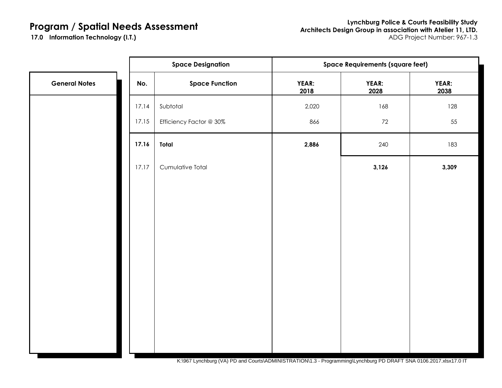**Lynchburg Police & Courts Feasibility Study Architects Design Group in association with Atelier 11, LTD. Information Technology (I.T.)** ADG Project Number: 967-1.3

**17.0 Information Technology (I.T.)** 

|                      |       | <b>Space Designation</b> | <b>Space Requirements (square feet)</b> |               |               |  |  |
|----------------------|-------|--------------------------|-----------------------------------------|---------------|---------------|--|--|
| <b>General Notes</b> | No.   | <b>Space Function</b>    | YEAR:<br>2018                           | YEAR:<br>2028 | YEAR:<br>2038 |  |  |
|                      | 17.14 | Subtotal                 | 2,020                                   | 168           | 128           |  |  |
|                      | 17.15 | Efficiency Factor @ 30%  | 866                                     | 72            | 55            |  |  |
|                      | 17.16 | Total                    | 2,886                                   | 240           | 183           |  |  |
|                      | 17.17 | Cumulative Total         |                                         | 3,126         | 3,309         |  |  |
|                      |       |                          |                                         |               |               |  |  |
|                      |       |                          |                                         |               |               |  |  |
|                      |       |                          |                                         |               |               |  |  |
|                      |       |                          |                                         |               |               |  |  |
|                      |       |                          |                                         |               |               |  |  |
|                      |       |                          |                                         |               |               |  |  |
|                      |       |                          |                                         |               |               |  |  |
|                      |       |                          |                                         |               |               |  |  |
|                      |       |                          |                                         |               |               |  |  |

K:\967 Lynchburg (VA) PD and Courts\ADMINISTRATION\1.3 - Programming\Lynchburg PD DRAFT SNA 0106.2017.xlsx17.0 IT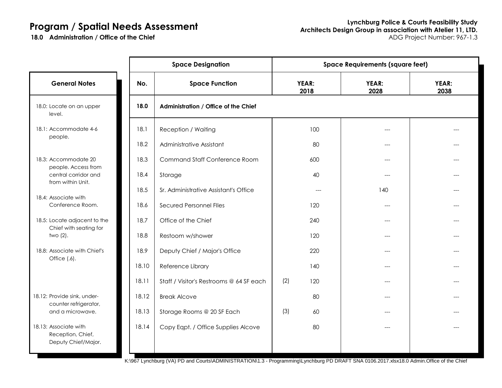|                                                                                                                                      |       | <b>Space Designation</b>                    | <b>Space Requirements (square feet)</b> |               |                      |               |  |
|--------------------------------------------------------------------------------------------------------------------------------------|-------|---------------------------------------------|-----------------------------------------|---------------|----------------------|---------------|--|
| <b>General Notes</b>                                                                                                                 | No.   | <b>Space Function</b>                       |                                         | YEAR:<br>2018 | <b>YEAR:</b><br>2028 | YEAR:<br>2038 |  |
| 18.0: Locate on an upper<br>level.                                                                                                   | 18.0  | <b>Administration / Office of the Chief</b> |                                         |               |                      |               |  |
| 18.1: Accommodate 4-6                                                                                                                | 18.1  | <b>Reception / Waiting</b>                  |                                         | 100           | ---                  |               |  |
| people.                                                                                                                              | 18.2  | Administrative Assistant                    |                                         | 80            | ---                  |               |  |
| 18.3: Accommodate 20<br>people. Access from<br>central corridor and<br>from within Unit.<br>18.4: Associate with<br>Conference Room. | 18.3  | <b>Command Staff Conference Room</b>        |                                         | 600           |                      |               |  |
|                                                                                                                                      | 18.4  | Storage                                     |                                         | 40            | ---                  |               |  |
|                                                                                                                                      | 18.5  | Sr. Administrative Assistant's Office       |                                         | $---$         | 140                  |               |  |
|                                                                                                                                      | 18.6  | Secured Personnel Files                     |                                         | 120           |                      |               |  |
| 18.5: Locate adjacent to the                                                                                                         | 18.7  | Office of the Chief                         |                                         | 240           |                      |               |  |
| Chief with seating for<br>two $(2)$ .                                                                                                | 18.8  | Restoom w/shower                            |                                         | 120           | $---$                |               |  |
| 18.8: Associate with Chief's                                                                                                         | 18.9  | Deputy Chief / Major's Office               |                                         | 220           | ---                  |               |  |
| Office $(.6)$ .                                                                                                                      | 18.10 | Reference Library                           |                                         | 140           |                      |               |  |
|                                                                                                                                      | 18.11 | Staff / Visitor's Restrooms @ 64 SF each    | (2)                                     | 120           | ---                  |               |  |
| 18.12: Provide sink, under-                                                                                                          | 18.12 | <b>Break Alcove</b>                         |                                         | 80            |                      |               |  |
| counter refrigerator,<br>and a microwave.                                                                                            | 18.13 | Storage Rooms @ 20 SF Each                  | (3)                                     | 60            |                      |               |  |
| 18.13: Associate with<br>Reception, Chief,<br>Deputy Chief/Major.                                                                    | 18.14 | Copy Eqpt. / Office Supplies Alcove         |                                         | 80            | ---                  |               |  |

K:\967 Lynchburg (VA) PD and Courts\ADMINISTRATION\1.3 - Programming\Lynchburg PD DRAFT SNA 0106.2017.xlsx18.0 Admin.Office of the Chief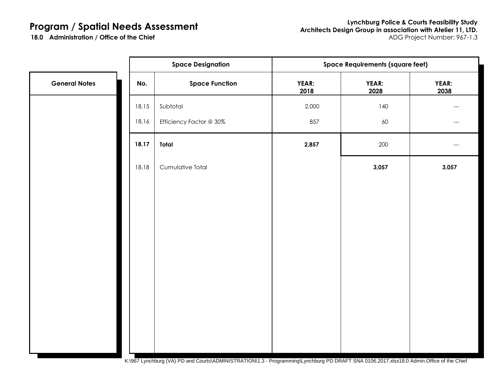|                      |       | <b>Space Designation</b> | <b>Space Requirements (square feet)</b> |               |                      |  |  |  |
|----------------------|-------|--------------------------|-----------------------------------------|---------------|----------------------|--|--|--|
| <b>General Notes</b> | No.   | <b>Space Function</b>    | YEAR:<br>2018                           | YEAR:<br>2028 | <b>YEAR:</b><br>2038 |  |  |  |
|                      | 18.15 | Subtotal                 | 2,000                                   | 140           |                      |  |  |  |
|                      | 18.16 | Efficiency Factor @ 30%  | 857                                     | 60            | ---                  |  |  |  |
|                      | 18.17 | Total                    | 2,857                                   | 200           |                      |  |  |  |
|                      | 18.18 | Cumulative Total         |                                         | 3,057         | 3,057                |  |  |  |
|                      |       |                          |                                         |               |                      |  |  |  |
|                      |       |                          |                                         |               |                      |  |  |  |
|                      |       |                          |                                         |               |                      |  |  |  |
|                      |       |                          |                                         |               |                      |  |  |  |
|                      |       |                          |                                         |               |                      |  |  |  |
|                      |       |                          |                                         |               |                      |  |  |  |
|                      |       |                          |                                         |               |                      |  |  |  |
|                      |       |                          |                                         |               |                      |  |  |  |
|                      |       |                          |                                         |               |                      |  |  |  |

K:\967 Lynchburg (VA) PD and Courts\ADMINISTRATION\1.3 - Programming\Lynchburg PD DRAFT SNA 0106.2017.xlsx18.0 Admin.Office of the Chief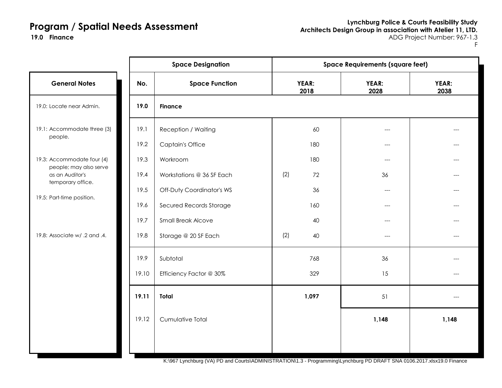**Lynchburg Police & Courts Feasibility Study Architects Design Group in association with Atelier 11, LTD. Finance** ADG Project Number: 967-1.3

F

|                                                                                             |       | <b>Space Designation</b>  | <b>Space Requirements (square feet)</b> |  |               |               |  |
|---------------------------------------------------------------------------------------------|-------|---------------------------|-----------------------------------------|--|---------------|---------------|--|
| <b>General Notes</b>                                                                        | No.   | <b>Space Function</b>     | YEAR:<br>2018                           |  | YEAR:<br>2028 | YEAR:<br>2038 |  |
| 19.0: Locate near Admin.                                                                    | 19.0  | <b>Finance</b>            |                                         |  |               |               |  |
| 19.1: Accommodate three (3)<br>people.                                                      | 19.1  | Reception / Waiting       | 60                                      |  | ---           |               |  |
|                                                                                             | 19.2  | <b>Captain's Office</b>   | 180                                     |  | ---           |               |  |
| 19.3: Accommodate four (4)                                                                  | 19.3  | Workroom                  | 180                                     |  | ---           |               |  |
| people; may also serve<br>as an Auditor's<br>temporary office.<br>19.5: Part-time position. | 19.4  | Workstations @ 36 SF Each | (2)<br>72                               |  | 36            |               |  |
|                                                                                             | 19.5  | Off-Duty Coordinator's WS | 36                                      |  | $---$         |               |  |
|                                                                                             | 19.6  | Secured Records Storage   | 160                                     |  | ---           |               |  |
|                                                                                             | 19.7  | <b>Small Break Alcove</b> | 40                                      |  | ---           |               |  |
| 19.8: Associate w/ .2 and .4.                                                               | 19.8  | Storage @ 20 SF Each      | (2)<br>40                               |  | $---$         | ---           |  |
|                                                                                             | 19.9  | Subtotal                  | 768                                     |  | 36            |               |  |
|                                                                                             | 19.10 | Efficiency Factor @ 30%   | 329                                     |  | 15            |               |  |
|                                                                                             | 19.11 | <b>Total</b>              | 1,097                                   |  | 51            | $---$         |  |
|                                                                                             | 19.12 | Cumulative Total          |                                         |  | 1,148         | 1,148         |  |
|                                                                                             |       |                           |                                         |  |               |               |  |

K:\967 Lynchburg (VA) PD and Courts\ADMINISTRATION\1.3 - Programming\Lynchburg PD DRAFT SNA 0106.2017.xlsx19.0 Finance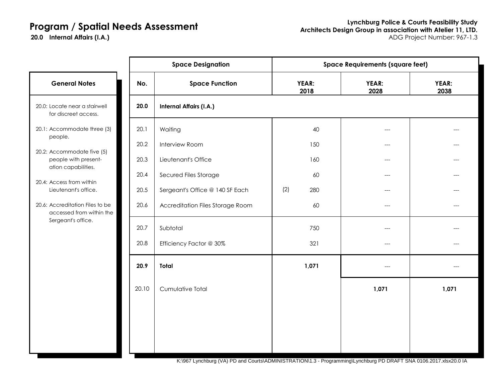20.0 Internal Affairs (I.A.)

|                                                                           |       | <b>Space Designation</b>         | <b>Space Requirements (square feet)</b> |               |               |  |  |
|---------------------------------------------------------------------------|-------|----------------------------------|-----------------------------------------|---------------|---------------|--|--|
| <b>General Notes</b>                                                      | No.   | <b>Space Function</b>            | YEAR:<br>2018                           | YEAR:<br>2028 | YEAR:<br>2038 |  |  |
| 20.0: Locate near a stairwell<br>for discreet access.                     | 20.0  | <b>Internal Affairs (I.A.)</b>   |                                         |               |               |  |  |
| 20.1: Accommodate three (3)<br>people.                                    | 20.1  | Waiting                          | 40                                      | ---           |               |  |  |
|                                                                           | 20.2  | Interview Room                   | 150                                     | $---$         |               |  |  |
| 20.2: Accommodate five (5)<br>people with present-<br>ation capabilities. | 20.3  | Lieutenant's Office              | 160                                     | $---$         | ---           |  |  |
|                                                                           | 20.4  | Secured Files Storage            | 60                                      | $---$         | ---           |  |  |
| 20.4: Access from within<br>Lieutenant's office.                          | 20.5  | Sergeant's Office @ 140 SF Each  | (2)<br>280                              | ---           | ---           |  |  |
| 20.6: Accreditation Files to be<br>accessed from within the               | 20.6  | Accreditation Files Storage Room | 60                                      | $---$         |               |  |  |
| Sergeant's office.                                                        | 20.7  | Subtotal                         | 750                                     | ---           |               |  |  |
|                                                                           | 20.8  | Efficiency Factor @ 30%          | 321                                     | $---$         |               |  |  |
|                                                                           | 20.9  | <b>Total</b>                     | 1,071                                   | ---           | ---           |  |  |
|                                                                           | 20.10 | Cumulative Total                 |                                         | 1,071         | 1,071         |  |  |
|                                                                           |       |                                  |                                         |               |               |  |  |
|                                                                           |       |                                  |                                         |               |               |  |  |
|                                                                           |       |                                  |                                         |               |               |  |  |
|                                                                           |       |                                  |                                         |               |               |  |  |

K:\967 Lynchburg (VA) PD and Courts\ADMINISTRATION\1.3 - Programming\Lynchburg PD DRAFT SNA 0106.2017.xlsx20.0 IA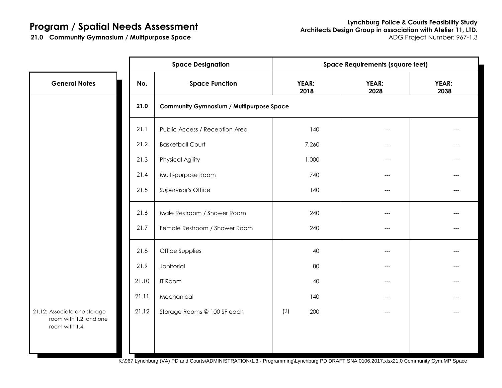21.0 Community Gymnasium / Multipurpose Space

|                                                                          |       | <b>Space Designation</b>                        | <b>Space Requirements (square feet)</b> |               |               |  |  |  |
|--------------------------------------------------------------------------|-------|-------------------------------------------------|-----------------------------------------|---------------|---------------|--|--|--|
| <b>General Notes</b>                                                     | No.   | <b>Space Function</b>                           | YEAR:<br>2018                           | YEAR:<br>2028 | YEAR:<br>2038 |  |  |  |
|                                                                          | 21.0  | <b>Community Gymnasium / Multipurpose Space</b> |                                         |               |               |  |  |  |
|                                                                          | 21.1  | Public Access / Reception Area                  | 140                                     | ---           |               |  |  |  |
|                                                                          | 21.2  | <b>Basketball Court</b>                         | 7,260                                   | ---           |               |  |  |  |
|                                                                          | 21.3  | <b>Physical Agility</b>                         | 1,000                                   | $---$         |               |  |  |  |
|                                                                          | 21.4  | Multi-purpose Room                              | 740                                     | ---           |               |  |  |  |
|                                                                          | 21.5  | Supervisor's Office                             | 140                                     | ---           | ---           |  |  |  |
|                                                                          | 21.6  | Male Restroom / Shower Room                     | 240                                     | ---           |               |  |  |  |
|                                                                          | 21.7  | Female Restroom / Shower Room                   | 240                                     | ---           |               |  |  |  |
|                                                                          | 21.8  | Office Supplies                                 | 40                                      | ---           |               |  |  |  |
|                                                                          | 21.9  | Janitorial                                      | 80                                      | ---           |               |  |  |  |
|                                                                          | 21.10 | <b>IT Room</b>                                  | 40                                      | ---           |               |  |  |  |
|                                                                          | 21.11 | Mechanical                                      | 140                                     | ---           | ---           |  |  |  |
| 21.12: Associate one storage<br>room with 1.2, and one<br>room with 1.4. | 21.12 | Storage Rooms @ 100 SF each                     | (2)<br>200                              | ---           |               |  |  |  |
|                                                                          |       |                                                 |                                         |               |               |  |  |  |

K:\967 Lynchburg (VA) PD and Courts\ADMINISTRATION\1.3 - Programming\Lynchburg PD DRAFT SNA 0106.2017.xlsx21.0 Community Gym.MP Space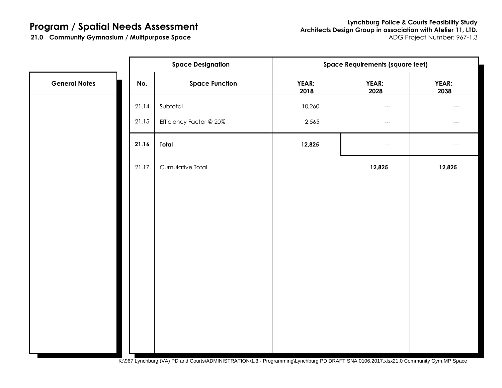|                      |       | <b>Space Designation</b> | <b>Space Requirements (square feet)</b> |                                     |               |  |  |  |
|----------------------|-------|--------------------------|-----------------------------------------|-------------------------------------|---------------|--|--|--|
| <b>General Notes</b> | No.   | <b>Space Function</b>    | YEAR:<br>2018                           | YEAR:<br>2028                       | YEAR:<br>2038 |  |  |  |
|                      | 21.14 | Subtotal                 | 10,260                                  | $\hspace{0.05cm}---\hspace{0.05cm}$ |               |  |  |  |
|                      | 21.15 | Efficiency Factor @ 20%  | 2,565                                   | $\hspace{0.05cm}---\hspace{0.05cm}$ | ---           |  |  |  |
|                      | 21.16 | Total                    | 12,825                                  | $\hspace{0.05cm} \dashrightarrow$   |               |  |  |  |
|                      | 21.17 | Cumulative Total         |                                         | 12,825                              | 12,825        |  |  |  |
|                      |       |                          |                                         |                                     |               |  |  |  |
|                      |       |                          |                                         |                                     |               |  |  |  |
|                      |       |                          |                                         |                                     |               |  |  |  |
|                      |       |                          |                                         |                                     |               |  |  |  |
|                      |       |                          |                                         |                                     |               |  |  |  |
|                      |       |                          |                                         |                                     |               |  |  |  |
|                      |       |                          |                                         |                                     |               |  |  |  |
|                      |       |                          |                                         |                                     |               |  |  |  |
|                      |       |                          |                                         |                                     |               |  |  |  |

K:\967 Lynchburg (VA) PD and Courts\ADMINISTRATION\1.3 - Programming\Lynchburg PD DRAFT SNA 0106.2017.xlsx21.0 Community Gym.MP Space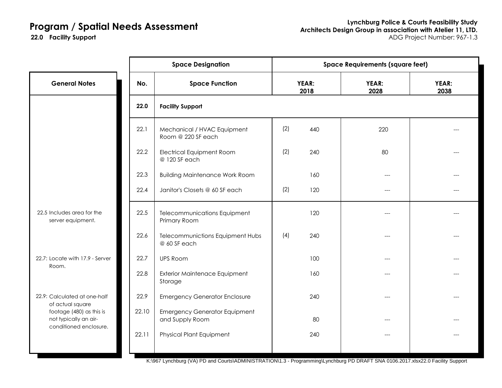22.0 Facility Support

| YEAR:<br>2038 |
|---------------|
|               |
|               |
|               |
|               |
|               |
|               |
|               |
|               |
|               |
|               |
|               |
|               |
|               |
|               |

K:\967 Lynchburg (VA) PD and Courts\ADMINISTRATION\1.3 - Programming\Lynchburg PD DRAFT SNA 0106.2017.xlsx22.0 Facility Support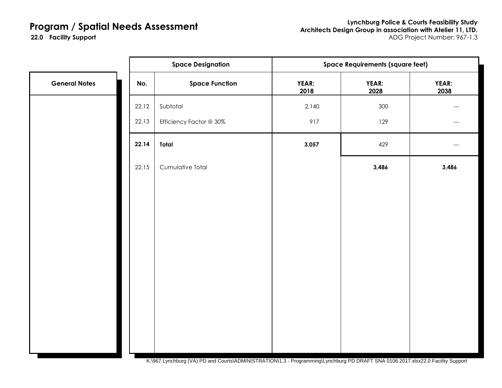**Lynchburg Police & Courts Feasibility Study Architects Design Group in association with Atelier 11, LTD. Facility Support** ADG Project Number: 967-1.3

22.0 Facility Support

|                      |       | <b>Space Designation</b> | <b>Space Requirements (square feet)</b> |               |               |  |
|----------------------|-------|--------------------------|-----------------------------------------|---------------|---------------|--|
| <b>General Notes</b> | No.   | <b>Space Function</b>    | YEAR:<br>2018                           | YEAR:<br>2028 | YEAR:<br>2038 |  |
|                      | 22.12 | Subtotal                 | 2,140                                   | 300           | $---$         |  |
|                      | 22.13 | Efficiency Factor @ 30%  | 917                                     | 129           | ---           |  |
|                      | 22.14 | Total                    | 3,057                                   | 429           | ---           |  |
|                      | 22.15 | Cumulative Total         |                                         | 3,486         | 3,486         |  |
|                      |       |                          |                                         |               |               |  |
|                      |       |                          |                                         |               |               |  |
|                      |       |                          |                                         |               |               |  |
|                      |       |                          |                                         |               |               |  |
|                      |       |                          |                                         |               |               |  |
|                      |       |                          |                                         |               |               |  |
|                      |       |                          |                                         |               |               |  |
|                      |       |                          |                                         |               |               |  |
|                      |       |                          |                                         |               |               |  |

K:\967 Lynchburg (VA) PD and Courts\ADMINISTRATION\1.3 - Programming\Lynchburg PD DRAFT SNA 0106.2017.xlsx22.0 Facility Support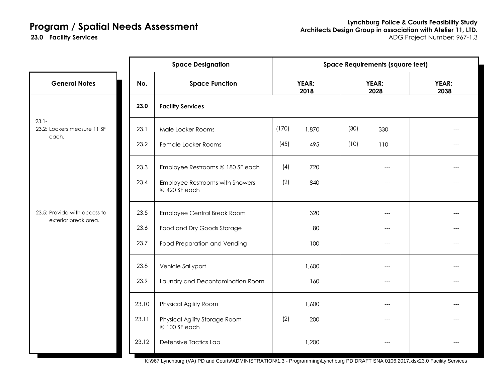23.0 Facility Services

|                                                      | <b>Space Designation</b> |                                                  | <b>Space Requirements (square feet)</b> |               |      |               |               |
|------------------------------------------------------|--------------------------|--------------------------------------------------|-----------------------------------------|---------------|------|---------------|---------------|
| <b>General Notes</b>                                 | No.                      | <b>Space Function</b>                            |                                         | YEAR:<br>2018 |      | YEAR:<br>2028 | YEAR:<br>2038 |
|                                                      | 23.0                     | <b>Facility Services</b>                         |                                         |               |      |               |               |
| $23.1 -$<br>23.2: Lockers measure 11 SF<br>each.     | 23.1                     | Male Locker Rooms                                | (170)                                   | 1,870         | (30) | 330           |               |
|                                                      | 23.2                     | Female Locker Rooms                              | (45)                                    | 495           | (10) | 110           |               |
|                                                      | 23.3                     | Employee Restrooms @ 180 SF each                 | (4)                                     | 720           |      | ---           |               |
| 23.5: Provide with access to<br>exterior break area. | 23.4                     | Employee Restrooms with Showers<br>@ 420 SF each | (2)                                     | 840           |      | ---           | ---           |
|                                                      | 23.5                     | Employee Central Break Room                      |                                         | 320           |      | ---           |               |
|                                                      | 23.6                     | Food and Dry Goods Storage                       |                                         | 80            |      | ---           |               |
|                                                      | 23.7                     | Food Preparation and Vending                     |                                         | 100           |      | $---$         | ---           |
|                                                      | 23.8                     | Vehicle Sallyport                                |                                         | 1,600         |      |               |               |
|                                                      | 23.9                     | Laundry and Decontamination Room                 |                                         | 160           |      | ---           |               |
|                                                      | 23.10                    | Physical Agility Room                            |                                         | 1,600         |      | ---           |               |
|                                                      | 23.11                    | Physical Agility Storage Room<br>@ 100 SF each   | (2)                                     | 200           |      |               |               |
|                                                      | 23.12                    | Defensive Tactics Lab                            |                                         | 1,200         |      |               |               |

K:\967 Lynchburg (VA) PD and Courts\ADMINISTRATION\1.3 - Programming\Lynchburg PD DRAFT SNA 0106.2017.xlsx23.0 Facility Services